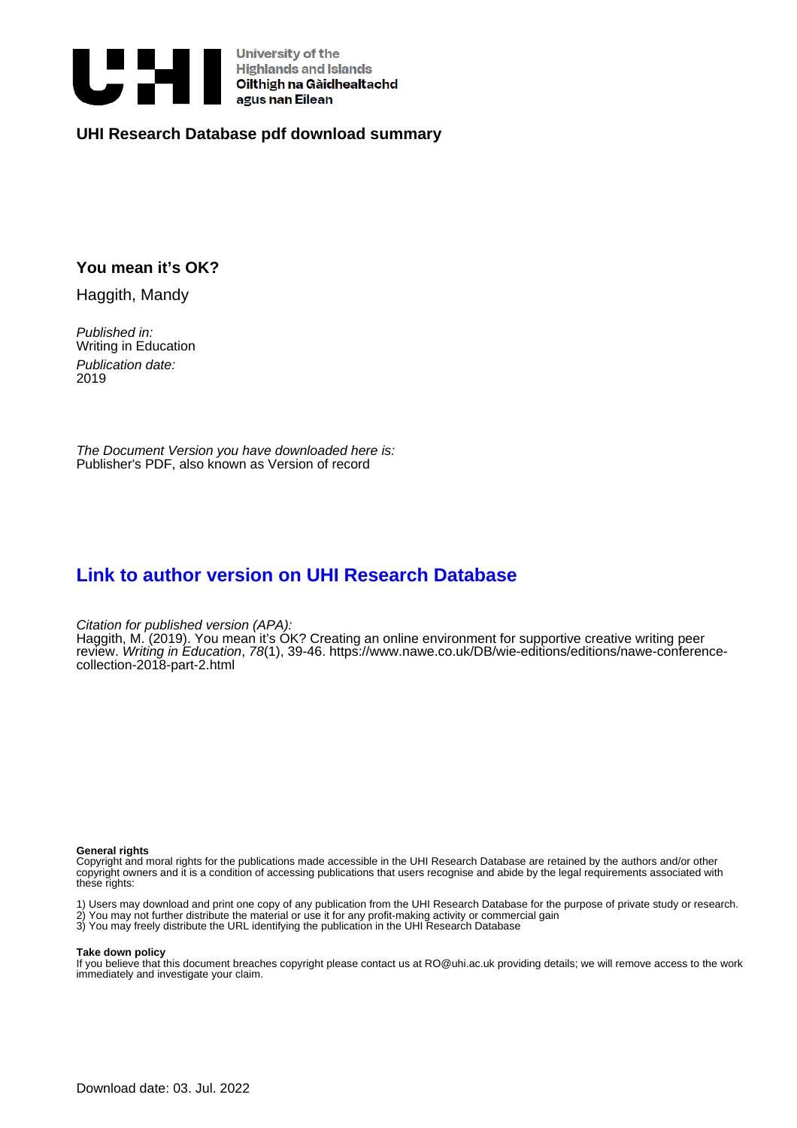

University of the<br>Highlands and Islands<br>Oilthigh na Gàidhealtachd<br>agus nan Eilean

### **UHI Research Database pdf download summary**

### **You mean it's OK?**

Haggith, Mandy

Published in: Writing in Education Publication date: 2019

The Document Version you have downloaded here is: Publisher's PDF, also known as Version of record

## **[Link to author version on UHI Research Database](https://pure.uhi.ac.uk/en/publications/6a736c00-0be6-4f7c-af96-feedec5f5cc7)**

Citation for published version (APA):

Haggith, M. (2019). You mean it's OK? Creating an online environment for supportive creative writing peer review. Writing in Education, 78(1), 39-46. [https://www.nawe.co.uk/DB/wie-editions/editions/nawe-conference](https://www.nawe.co.uk/DB/wie-editions/editions/nawe-conference-collection-2018-part-2.html)[collection-2018-part-2.html](https://www.nawe.co.uk/DB/wie-editions/editions/nawe-conference-collection-2018-part-2.html)

#### **General rights**

Copyright and moral rights for the publications made accessible in the UHI Research Database are retained by the authors and/or other copyright owners and it is a condition of accessing publications that users recognise and abide by the legal requirements associated with these rights:

1) Users may download and print one copy of any publication from the UHI Research Database for the purpose of private study or research. 2) You may not further distribute the material or use it for any profit-making activity or commercial gain 3) You may freely distribute the URL identifying the publication in the UHI Research Database

#### **Take down policy**

If you believe that this document breaches copyright please contact us at RO@uhi.ac.uk providing details; we will remove access to the work immediately and investigate your claim.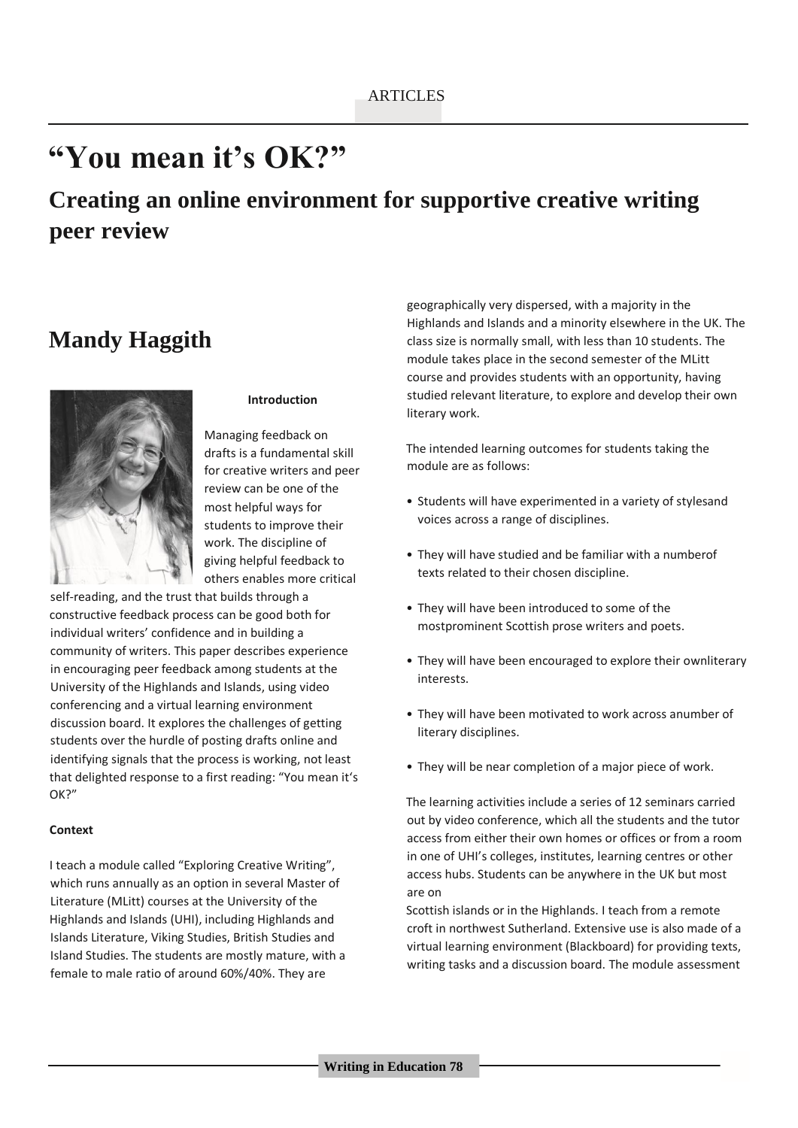# **"You mean it's OK?"**

# **Creating an online environment for supportive creative writing peer review**

## **Mandy Haggith**



#### **Introduction**

Managing feedback on drafts is a fundamental skill for creative writers and peer review can be one of the most helpful ways for students to improve their work. The discipline of giving helpful feedback to others enables more critical

self-reading, and the trust that builds through a constructive feedback process can be good both for individual writers' confidence and in building a community of writers. This paper describes experience in encouraging peer feedback among students at the University of the Highlands and Islands, using video conferencing and a virtual learning environment discussion board. It explores the challenges of getting students over the hurdle of posting drafts online and identifying signals that the process is working, not least that delighted response to a first reading: "You mean it's OK?"

#### **Context**

I teach a module called "Exploring Creative Writing", which runs annually as an option in several Master of Literature (MLitt) courses at the University of the Highlands and Islands (UHI), including Highlands and Islands Literature, Viking Studies, British Studies and Island Studies. The students are mostly mature, with a female to male ratio of around 60%/40%. They are

geographically very dispersed, with a majority in the Highlands and Islands and a minority elsewhere in the UK. The class size is normally small, with less than 10 students. The module takes place in the second semester of the MLitt course and provides students with an opportunity, having studied relevant literature, to explore and develop their own literary work.

The intended learning outcomes for students taking the module are as follows:

- Students will have experimented in a variety of stylesand voices across a range of disciplines.
- They will have studied and be familiar with a numberof texts related to their chosen discipline.
- They will have been introduced to some of the mostprominent Scottish prose writers and poets.
- They will have been encouraged to explore their ownliterary interests.
- They will have been motivated to work across anumber of literary disciplines.
- They will be near completion of a major piece of work.

The learning activities include a series of 12 seminars carried out by video conference, which all the students and the tutor access from either their own homes or offices or from a room in one of UHI's colleges, institutes, learning centres or other access hubs. Students can be anywhere in the UK but most are on

Scottish islands or in the Highlands. I teach from a remote croft in northwest Sutherland. Extensive use is also made of a virtual learning environment (Blackboard) for providing texts, writing tasks and a discussion board. The module assessment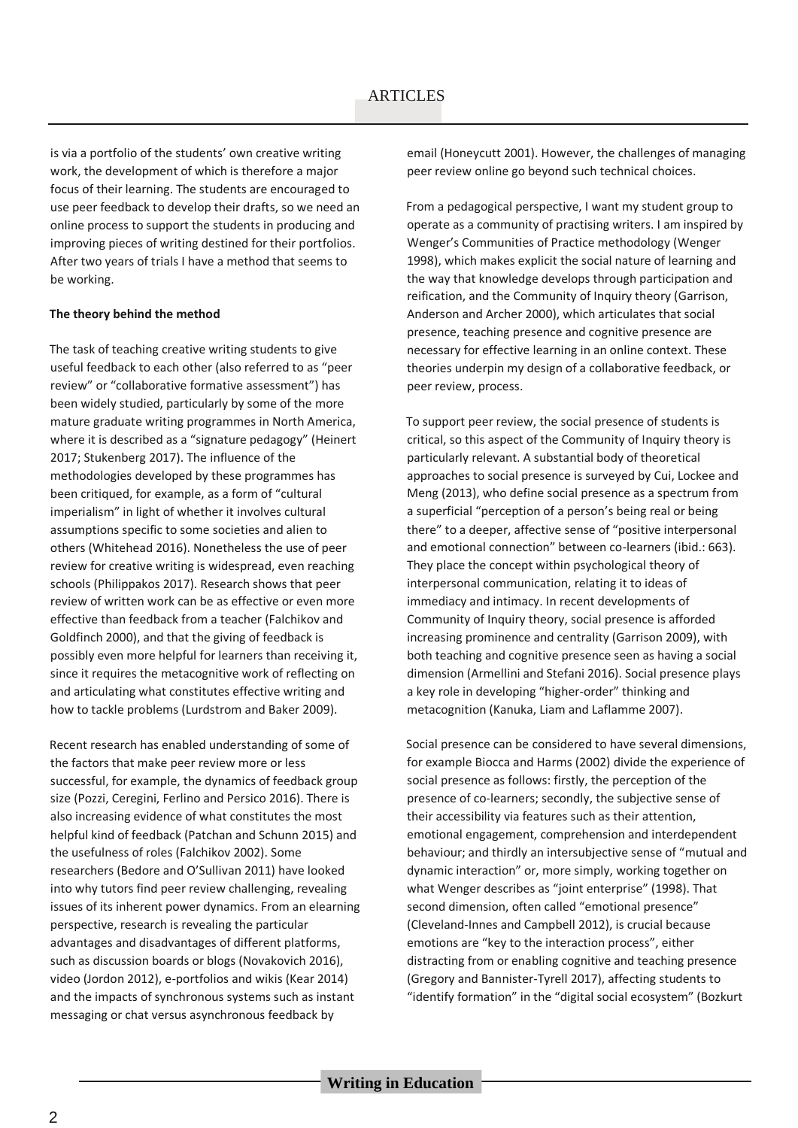is via a portfolio of the students' own creative writing work, the development of which is therefore a major focus of their learning. The students are encouraged to use peer feedback to develop their drafts, so we need an online process to support the students in producing and improving pieces of writing destined for their portfolios. After two years of trials I have a method that seems to be working.

#### **The theory behind the method**

The task of teaching creative writing students to give useful feedback to each other (also referred to as "peer review" or "collaborative formative assessment") has been widely studied, particularly by some of the more mature graduate writing programmes in North America, where it is described as a "signature pedagogy" (Heinert 2017; Stukenberg 2017). The influence of the methodologies developed by these programmes has been critiqued, for example, as a form of "cultural imperialism" in light of whether it involves cultural assumptions specific to some societies and alien to others (Whitehead 2016). Nonetheless the use of peer review for creative writing is widespread, even reaching schools (Philippakos 2017). Research shows that peer review of written work can be as effective or even more effective than feedback from a teacher (Falchikov and Goldfinch 2000), and that the giving of feedback is possibly even more helpful for learners than receiving it, since it requires the metacognitive work of reflecting on and articulating what constitutes effective writing and how to tackle problems (Lurdstrom and Baker 2009).

Recent research has enabled understanding of some of the factors that make peer review more or less successful, for example, the dynamics of feedback group size (Pozzi, Ceregini, Ferlino and Persico 2016). There is also increasing evidence of what constitutes the most helpful kind of feedback (Patchan and Schunn 2015) and the usefulness of roles (Falchikov 2002). Some researchers (Bedore and O'Sullivan 2011) have looked into why tutors find peer review challenging, revealing issues of its inherent power dynamics. From an elearning perspective, research is revealing the particular advantages and disadvantages of different platforms, such as discussion boards or blogs (Novakovich 2016), video (Jordon 2012), e-portfolios and wikis (Kear 2014) and the impacts of synchronous systems such as instant messaging or chat versus asynchronous feedback by

email (Honeycutt 2001). However, the challenges of managing peer review online go beyond such technical choices.

From a pedagogical perspective, I want my student group to operate as a community of practising writers. I am inspired by Wenger's Communities of Practice methodology (Wenger 1998), which makes explicit the social nature of learning and the way that knowledge develops through participation and reification, and the Community of Inquiry theory (Garrison, Anderson and Archer 2000), which articulates that social presence, teaching presence and cognitive presence are necessary for effective learning in an online context. These theories underpin my design of a collaborative feedback, or peer review, process.

To support peer review, the social presence of students is critical, so this aspect of the Community of Inquiry theory is particularly relevant. A substantial body of theoretical approaches to social presence is surveyed by Cui, Lockee and Meng (2013), who define social presence as a spectrum from a superficial "perception of a person's being real or being there" to a deeper, affective sense of "positive interpersonal and emotional connection" between co-learners (ibid.: 663). They place the concept within psychological theory of interpersonal communication, relating it to ideas of immediacy and intimacy. In recent developments of Community of Inquiry theory, social presence is afforded increasing prominence and centrality (Garrison 2009), with both teaching and cognitive presence seen as having a social dimension (Armellini and Stefani 2016). Social presence plays a key role in developing "higher-order" thinking and metacognition (Kanuka, Liam and Laflamme 2007).

Social presence can be considered to have several dimensions, for example Biocca and Harms (2002) divide the experience of social presence as follows: firstly, the perception of the presence of co-learners; secondly, the subjective sense of their accessibility via features such as their attention, emotional engagement, comprehension and interdependent behaviour; and thirdly an intersubjective sense of "mutual and dynamic interaction" or, more simply, working together on what Wenger describes as "joint enterprise" (1998). That second dimension, often called "emotional presence" (Cleveland-Innes and Campbell 2012), is crucial because emotions are "key to the interaction process", either distracting from or enabling cognitive and teaching presence (Gregory and Bannister-Tyrell 2017), affecting students to "identify formation" in the "digital social ecosystem" (Bozkurt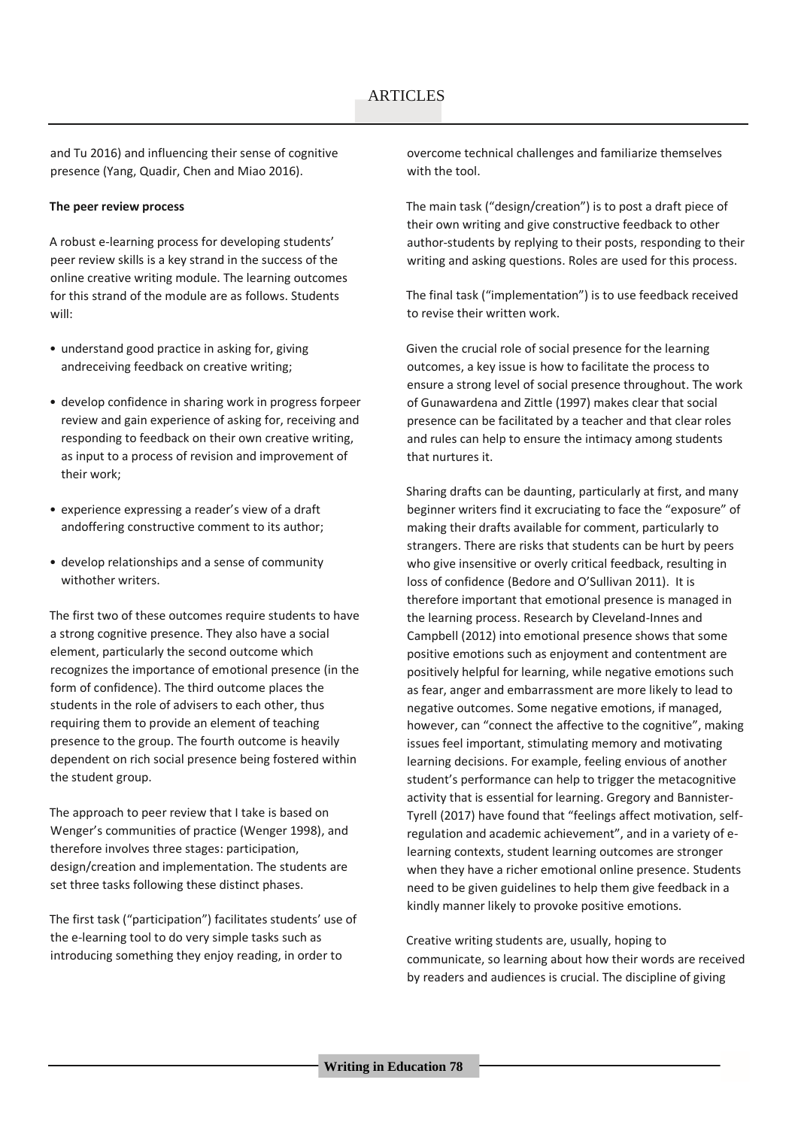and Tu 2016) and influencing their sense of cognitive presence (Yang, Quadir, Chen and Miao 2016).

#### **The peer review process**

A robust e-learning process for developing students' peer review skills is a key strand in the success of the online creative writing module. The learning outcomes for this strand of the module are as follows. Students will:

- understand good practice in asking for, giving andreceiving feedback on creative writing;
- develop confidence in sharing work in progress forpeer review and gain experience of asking for, receiving and responding to feedback on their own creative writing, as input to a process of revision and improvement of their work;
- experience expressing a reader's view of a draft andoffering constructive comment to its author;
- develop relationships and a sense of community withother writers.

The first two of these outcomes require students to have a strong cognitive presence. They also have a social element, particularly the second outcome which recognizes the importance of emotional presence (in the form of confidence). The third outcome places the students in the role of advisers to each other, thus requiring them to provide an element of teaching presence to the group. The fourth outcome is heavily dependent on rich social presence being fostered within the student group.

The approach to peer review that I take is based on Wenger's communities of practice (Wenger 1998), and therefore involves three stages: participation, design/creation and implementation. The students are set three tasks following these distinct phases.

The first task ("participation") facilitates students' use of the e-learning tool to do very simple tasks such as introducing something they enjoy reading, in order to

overcome technical challenges and familiarize themselves with the tool.

The main task ("design/creation") is to post a draft piece of their own writing and give constructive feedback to other author-students by replying to their posts, responding to their writing and asking questions. Roles are used for this process.

The final task ("implementation") is to use feedback received to revise their written work.

Given the crucial role of social presence for the learning outcomes, a key issue is how to facilitate the process to ensure a strong level of social presence throughout. The work of Gunawardena and Zittle (1997) makes clear that social presence can be facilitated by a teacher and that clear roles and rules can help to ensure the intimacy among students that nurtures it.

Sharing drafts can be daunting, particularly at first, and many beginner writers find it excruciating to face the "exposure" of making their drafts available for comment, particularly to strangers. There are risks that students can be hurt by peers who give insensitive or overly critical feedback, resulting in loss of confidence (Bedore and O'Sullivan 2011). It is therefore important that emotional presence is managed in the learning process. Research by Cleveland-Innes and Campbell (2012) into emotional presence shows that some positive emotions such as enjoyment and contentment are positively helpful for learning, while negative emotions such as fear, anger and embarrassment are more likely to lead to negative outcomes. Some negative emotions, if managed, however, can "connect the affective to the cognitive", making issues feel important, stimulating memory and motivating learning decisions. For example, feeling envious of another student's performance can help to trigger the metacognitive activity that is essential for learning. Gregory and Bannister-Tyrell (2017) have found that "feelings affect motivation, selfregulation and academic achievement", and in a variety of elearning contexts, student learning outcomes are stronger when they have a richer emotional online presence. Students need to be given guidelines to help them give feedback in a kindly manner likely to provoke positive emotions.

Creative writing students are, usually, hoping to communicate, so learning about how their words are received by readers and audiences is crucial. The discipline of giving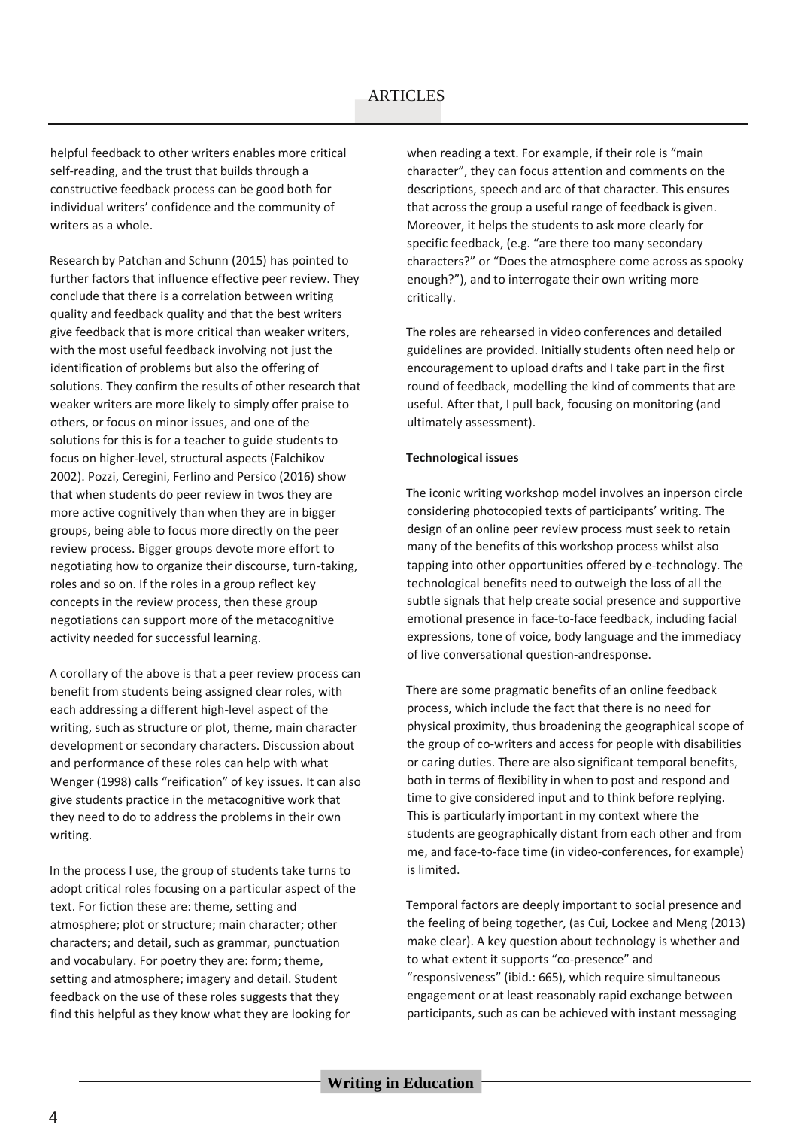### **ARTICLES**

helpful feedback to other writers enables more critical self-reading, and the trust that builds through a constructive feedback process can be good both for individual writers' confidence and the community of writers as a whole.

Research by Patchan and Schunn (2015) has pointed to further factors that influence effective peer review. They conclude that there is a correlation between writing quality and feedback quality and that the best writers give feedback that is more critical than weaker writers, with the most useful feedback involving not just the identification of problems but also the offering of solutions. They confirm the results of other research that weaker writers are more likely to simply offer praise to others, or focus on minor issues, and one of the solutions for this is for a teacher to guide students to focus on higher-level, structural aspects (Falchikov 2002). Pozzi, Ceregini, Ferlino and Persico (2016) show that when students do peer review in twos they are more active cognitively than when they are in bigger groups, being able to focus more directly on the peer review process. Bigger groups devote more effort to negotiating how to organize their discourse, turn-taking, roles and so on. If the roles in a group reflect key concepts in the review process, then these group negotiations can support more of the metacognitive activity needed for successful learning.

A corollary of the above is that a peer review process can benefit from students being assigned clear roles, with each addressing a different high-level aspect of the writing, such as structure or plot, theme, main character development or secondary characters. Discussion about and performance of these roles can help with what Wenger (1998) calls "reification" of key issues. It can also give students practice in the metacognitive work that they need to do to address the problems in their own writing.

In the process I use, the group of students take turns to adopt critical roles focusing on a particular aspect of the text. For fiction these are: theme, setting and atmosphere; plot or structure; main character; other characters; and detail, such as grammar, punctuation and vocabulary. For poetry they are: form; theme, setting and atmosphere; imagery and detail. Student feedback on the use of these roles suggests that they find this helpful as they know what they are looking for

when reading a text. For example, if their role is "main character", they can focus attention and comments on the descriptions, speech and arc of that character. This ensures that across the group a useful range of feedback is given. Moreover, it helps the students to ask more clearly for specific feedback, (e.g. "are there too many secondary characters?" or "Does the atmosphere come across as spooky enough?"), and to interrogate their own writing more critically.

The roles are rehearsed in video conferences and detailed guidelines are provided. Initially students often need help or encouragement to upload drafts and I take part in the first round of feedback, modelling the kind of comments that are useful. After that, I pull back, focusing on monitoring (and ultimately assessment).

#### **Technological issues**

The iconic writing workshop model involves an inperson circle considering photocopied texts of participants' writing. The design of an online peer review process must seek to retain many of the benefits of this workshop process whilst also tapping into other opportunities offered by e-technology. The technological benefits need to outweigh the loss of all the subtle signals that help create social presence and supportive emotional presence in face-to-face feedback, including facial expressions, tone of voice, body language and the immediacy of live conversational question-andresponse.

There are some pragmatic benefits of an online feedback process, which include the fact that there is no need for physical proximity, thus broadening the geographical scope of the group of co-writers and access for people with disabilities or caring duties. There are also significant temporal benefits, both in terms of flexibility in when to post and respond and time to give considered input and to think before replying. This is particularly important in my context where the students are geographically distant from each other and from me, and face-to-face time (in video-conferences, for example) is limited.

Temporal factors are deeply important to social presence and the feeling of being together, (as Cui, Lockee and Meng (2013) make clear). A key question about technology is whether and to what extent it supports "co-presence" and "responsiveness" (ibid.: 665), which require simultaneous engagement or at least reasonably rapid exchange between participants, such as can be achieved with instant messaging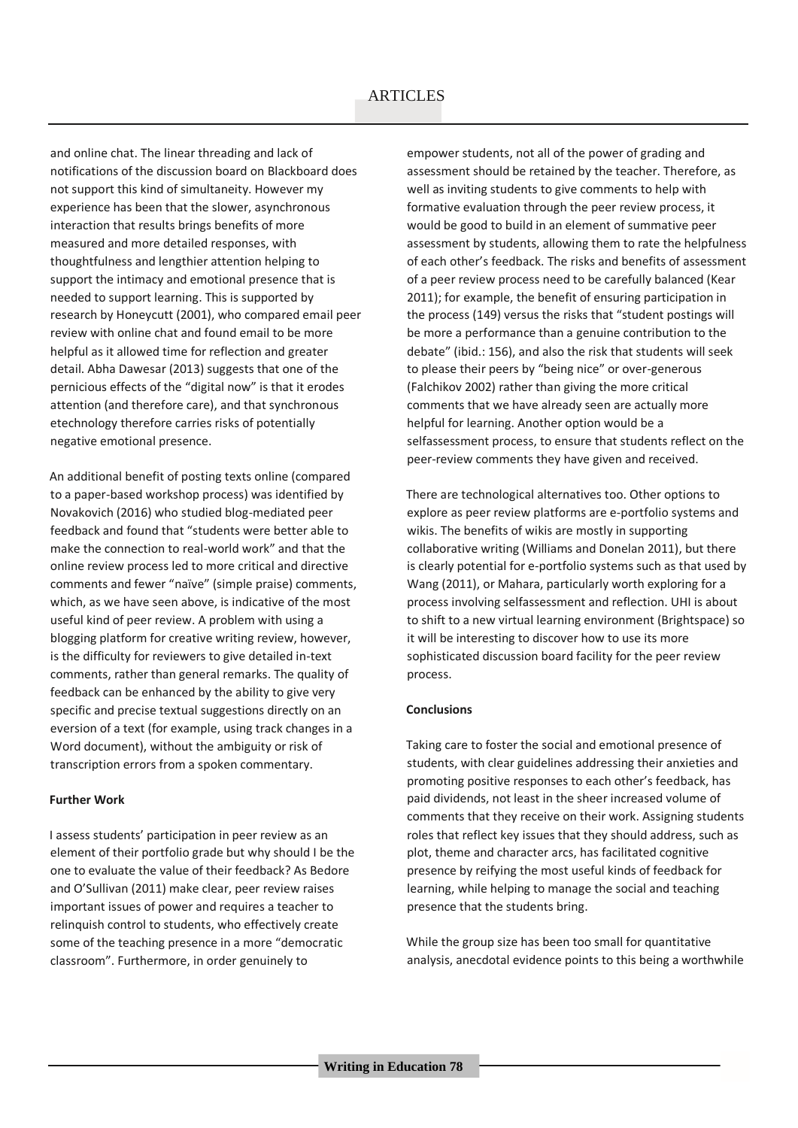and online chat. The linear threading and lack of notifications of the discussion board on Blackboard does not support this kind of simultaneity. However my experience has been that the slower, asynchronous interaction that results brings benefits of more measured and more detailed responses, with thoughtfulness and lengthier attention helping to support the intimacy and emotional presence that is needed to support learning. This is supported by research by Honeycutt (2001), who compared email peer review with online chat and found email to be more helpful as it allowed time for reflection and greater detail. Abha Dawesar (2013) suggests that one of the pernicious effects of the "digital now" is that it erodes attention (and therefore care), and that synchronous etechnology therefore carries risks of potentially negative emotional presence.

An additional benefit of posting texts online (compared to a paper-based workshop process) was identified by Novakovich (2016) who studied blog-mediated peer feedback and found that "students were better able to make the connection to real-world work" and that the online review process led to more critical and directive comments and fewer "naïve" (simple praise) comments, which, as we have seen above, is indicative of the most useful kind of peer review. A problem with using a blogging platform for creative writing review, however, is the difficulty for reviewers to give detailed in-text comments, rather than general remarks. The quality of feedback can be enhanced by the ability to give very specific and precise textual suggestions directly on an eversion of a text (for example, using track changes in a Word document), without the ambiguity or risk of transcription errors from a spoken commentary.

#### **Further Work**

I assess students' participation in peer review as an element of their portfolio grade but why should I be the one to evaluate the value of their feedback? As Bedore and O'Sullivan (2011) make clear, peer review raises important issues of power and requires a teacher to relinquish control to students, who effectively create some of the teaching presence in a more "democratic classroom". Furthermore, in order genuinely to

empower students, not all of the power of grading and assessment should be retained by the teacher. Therefore, as well as inviting students to give comments to help with formative evaluation through the peer review process, it would be good to build in an element of summative peer assessment by students, allowing them to rate the helpfulness of each other's feedback. The risks and benefits of assessment of a peer review process need to be carefully balanced (Kear 2011); for example, the benefit of ensuring participation in the process (149) versus the risks that "student postings will be more a performance than a genuine contribution to the debate" (ibid.: 156), and also the risk that students will seek to please their peers by "being nice" or over-generous (Falchikov 2002) rather than giving the more critical comments that we have already seen are actually more helpful for learning. Another option would be a selfassessment process, to ensure that students reflect on the peer-review comments they have given and received.

There are technological alternatives too. Other options to explore as peer review platforms are e-portfolio systems and wikis. The benefits of wikis are mostly in supporting collaborative writing (Williams and Donelan 2011), but there is clearly potential for e-portfolio systems such as that used by Wang (2011), or Mahara, particularly worth exploring for a process involving selfassessment and reflection. UHI is about to shift to a new virtual learning environment (Brightspace) so it will be interesting to discover how to use its more sophisticated discussion board facility for the peer review process.

#### **Conclusions**

Taking care to foster the social and emotional presence of students, with clear guidelines addressing their anxieties and promoting positive responses to each other's feedback, has paid dividends, not least in the sheer increased volume of comments that they receive on their work. Assigning students roles that reflect key issues that they should address, such as plot, theme and character arcs, has facilitated cognitive presence by reifying the most useful kinds of feedback for learning, while helping to manage the social and teaching presence that the students bring.

While the group size has been too small for quantitative analysis, anecdotal evidence points to this being a worthwhile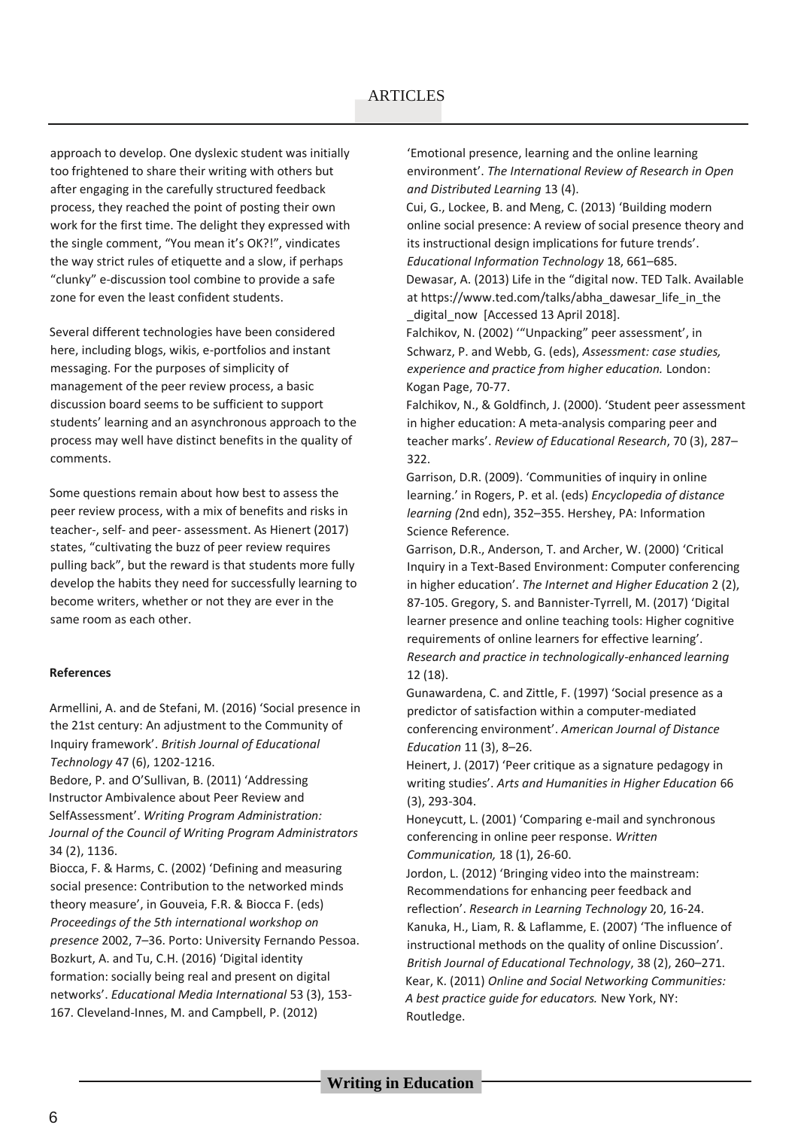approach to develop. One dyslexic student was initially too frightened to share their writing with others but after engaging in the carefully structured feedback process, they reached the point of posting their own work for the first time. The delight they expressed with the single comment, "You mean it's OK?!", vindicates the way strict rules of etiquette and a slow, if perhaps "clunky" e-discussion tool combine to provide a safe zone for even the least confident students.

Several different technologies have been considered here, including blogs, wikis, e-portfolios and instant messaging. For the purposes of simplicity of management of the peer review process, a basic discussion board seems to be sufficient to support students' learning and an asynchronous approach to the process may well have distinct benefits in the quality of comments.

Some questions remain about how best to assess the peer review process, with a mix of benefits and risks in teacher-, self- and peer- assessment. As Hienert (2017) states, "cultivating the buzz of peer review requires pulling back", but the reward is that students more fully develop the habits they need for successfully learning to become writers, whether or not they are ever in the same room as each other.

#### **References**

Armellini, A. and de Stefani, M. (2016) 'Social presence in the 21st century: An adjustment to the Community of Inquiry framework'. *British Journal of Educational Technology* 47 (6), 1202-1216.

Bedore, P. and O'Sullivan, B. (2011) 'Addressing Instructor Ambivalence about Peer Review and SelfAssessment'. *Writing Program Administration: Journal of the Council of Writing Program Administrators*  34 (2), 1136.

Biocca, F. & Harms, C. (2002) 'Defining and measuring social presence: Contribution to the networked minds theory measure', in Gouveia, F.R. & Biocca F. (eds) *Proceedings of the 5th international workshop on presence* 2002, 7–36. Porto: University Fernando Pessoa. Bozkurt, A. and Tu, C.H. (2016) 'Digital identity formation: socially being real and present on digital networks'. *Educational Media International* 53 (3), 153- 167. Cleveland-Innes, M. and Campbell, P. (2012)

'Emotional presence, learning and the online learning environment'. *The International Review of Research in Open and Distributed Learning* 13 (4).

Cui, G., Lockee, B. and Meng, C. (2013) 'Building modern online social presence: A review of social presence theory and its instructional design implications for future trends'. *Educational Information Technology* 18, 661–685.

Dewasar, A. (2013) Life in the "digital now. TED Talk. Available at https://www.ted.com/talks/abha\_dawesar\_life\_in\_the digital now [Accessed 13 April 2018].

Falchikov, N. (2002) '"Unpacking" peer assessment', in Schwarz, P. and Webb, G. (eds), *Assessment: case studies, experience and practice from higher education.* London: Kogan Page, 70-77.

Falchikov, N., & Goldfinch, J. (2000). 'Student peer assessment in higher education: A meta-analysis comparing peer and teacher marks'. *Review of Educational Research*, 70 (3), 287– 322.

Garrison, D.R. (2009). 'Communities of inquiry in online learning.' in Rogers, P. et al. (eds) *Encyclopedia of distance learning (*2nd edn), 352–355. Hershey, PA: Information Science Reference.

Garrison, D.R., Anderson, T. and Archer, W. (2000) 'Critical Inquiry in a Text-Based Environment: Computer conferencing in higher education'. *The Internet and Higher Education* 2 (2), 87-105. Gregory, S. and Bannister-Tyrrell, M. (2017) 'Digital learner presence and online teaching tools: Higher cognitive requirements of online learners for effective learning'. *Research and practice in technologically-enhanced learning*  12 (18).

Gunawardena, C. and Zittle, F. (1997) 'Social presence as a predictor of satisfaction within a computer-mediated conferencing environment'. *American Journal of Distance Education* 11 (3), 8–26.

Heinert, J. (2017) 'Peer critique as a signature pedagogy in writing studies'. *Arts and Humanities in Higher Education* 66 (3), 293-304.

Honeycutt, L. (2001) 'Comparing e-mail and synchronous conferencing in online peer response. *Written Communication,* 18 (1), 26-60.

Jordon, L. (2012) 'Bringing video into the mainstream: Recommendations for enhancing peer feedback and reflection'. *Research in Learning Technology* 20, 16-24. Kanuka, H., Liam, R. & Laflamme, E. (2007) 'The influence of instructional methods on the quality of online Discussion'. *British Journal of Educational Technology*, 38 (2), 260–271. Kear, K. (2011) *Online and Social Networking Communities: A best practice guide for educators.* New York, NY: Routledge.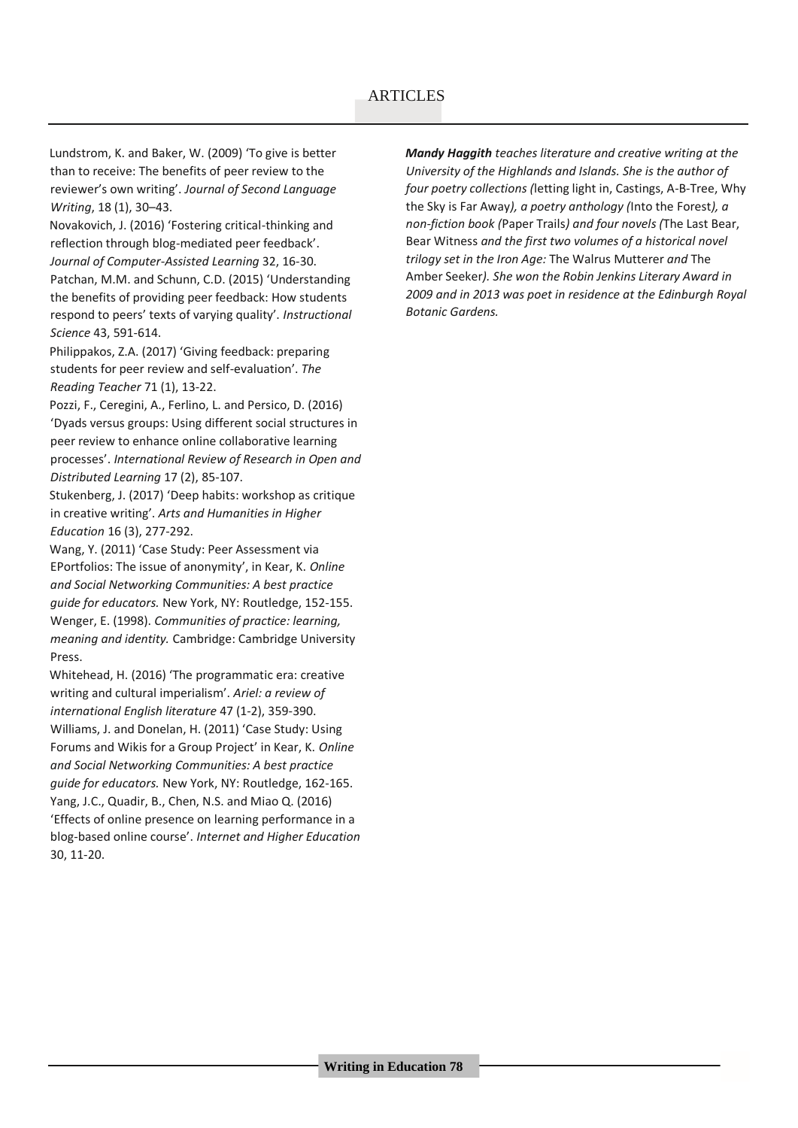### **ARTICLES**

Lundstrom, K. and Baker, W. (2009) 'To give is better than to receive: The benefits of peer review to the reviewer's own writing'. *Journal of Second Language Writing*, 18 (1), 30–43.

Novakovich, J. (2016) 'Fostering critical-thinking and reflection through blog-mediated peer feedback'. *Journal of Computer-Assisted Learning* 32, 16-30.

Patchan, M.M. and Schunn, C.D. (2015) 'Understanding the benefits of providing peer feedback: How students respond to peers' texts of varying quality'. *Instructional Science* 43, 591-614.

Philippakos, Z.A. (2017) 'Giving feedback: preparing students for peer review and self-evaluation'. *The Reading Teacher* 71 (1), 13-22.

Pozzi, F., Ceregini, A., Ferlino, L. and Persico, D. (2016) 'Dyads versus groups: Using different social structures in peer review to enhance online collaborative learning processes'. *International Review of Research in Open and Distributed Learning* 17 (2), 85-107.

Stukenberg, J. (2017) 'Deep habits: workshop as critique in creative writing'. *Arts and Humanities in Higher Education* 16 (3), 277-292.

Wang, Y. (2011) 'Case Study: Peer Assessment via EPortfolios: The issue of anonymity', in Kear, K. *Online and Social Networking Communities: A best practice guide for educators.* New York, NY: Routledge, 152-155. Wenger, E. (1998). *Communities of practice: learning, meaning and identity.* Cambridge: Cambridge University Press.

Whitehead, H. (2016) 'The programmatic era: creative writing and cultural imperialism'. *Ariel: a review of international English literature* 47 (1-2), 359-390. Williams, J. and Donelan, H. (2011) 'Case Study: Using Forums and Wikis for a Group Project' in Kear, K. *Online and Social Networking Communities: A best practice guide for educators.* New York, NY: Routledge, 162-165. Yang, J.C., Quadir, B., Chen, N.S. and Miao Q. (2016) 'Effects of online presence on learning performance in a blog-based online course'. *Internet and Higher Education*  30, 11-20.

*Mandy Haggith teaches literature and creative writing at the University of the Highlands and Islands. She is the author of four poetry collections (*letting light in, Castings, A-B-Tree, Why the Sky is Far Away*), a poetry anthology (*Into the Forest*), a non-fiction book (*Paper Trails*) and four novels (*The Last Bear, Bear Witness *and the first two volumes of a historical novel trilogy set in the Iron Age:* The Walrus Mutterer *and* The Amber Seeker*). She won the Robin Jenkins Literary Award in 2009 and in 2013 was poet in residence at the Edinburgh Royal Botanic Gardens.*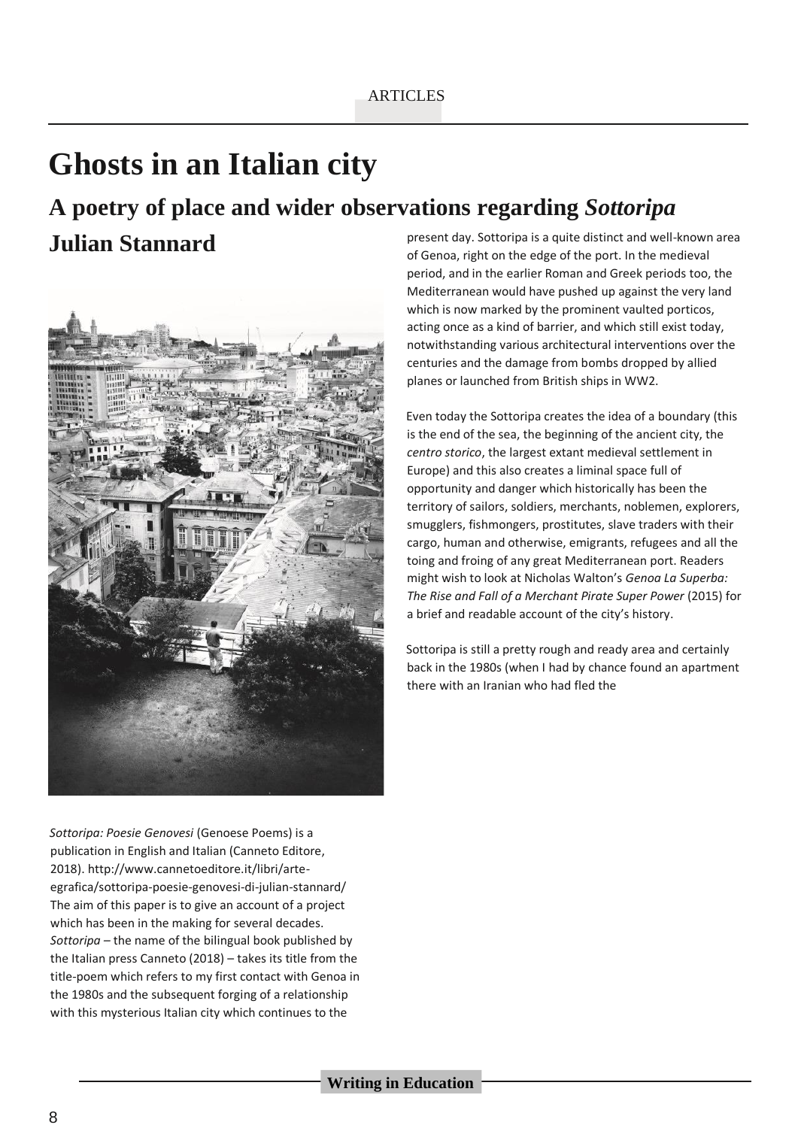# **Ghosts in an Italian city**

# **A poetry of place and wider observations regarding** *Sottoripa*

## **Julian Stannard**



present day. Sottoripa is a quite distinct and well-known area of Genoa, right on the edge of the port. In the medieval period, and in the earlier Roman and Greek periods too, the Mediterranean would have pushed up against the very land which is now marked by the prominent vaulted porticos, acting once as a kind of barrier, and which still exist today, notwithstanding various architectural interventions over the centuries and the damage from bombs dropped by allied planes or launched from British ships in WW2.

Even today the Sottoripa creates the idea of a boundary (this is the end of the sea, the beginning of the ancient city, the *centro storico*, the largest extant medieval settlement in Europe) and this also creates a liminal space full of opportunity and danger which historically has been the territory of sailors, soldiers, merchants, noblemen, explorers, smugglers, fishmongers, prostitutes, slave traders with their cargo, human and otherwise, emigrants, refugees and all the toing and froing of any great Mediterranean port. Readers might wish to look at Nicholas Walton's *Genoa La Superba: The Rise and Fall of a Merchant Pirate Super Power* (2015) for a brief and readable account of the city's history.

Sottoripa is still a pretty rough and ready area and certainly back in the 1980s (when I had by chance found an apartment there with an Iranian who had fled the

*Sottoripa: Poesie Genovesi* (Genoese Poems) is a publication in English and Italian (Canneto Editore, 2018). http://www.cannetoeditore.it/libri/arteegrafica/sottoripa-poesie-genovesi-di-julian-stannard/ The aim of this paper is to give an account of a project which has been in the making for several decades. *Sottoripa –* the name of the bilingual book published by the Italian press Canneto (2018) – takes its title from the title-poem which refers to my first contact with Genoa in the 1980s and the subsequent forging of a relationship with this mysterious Italian city which continues to the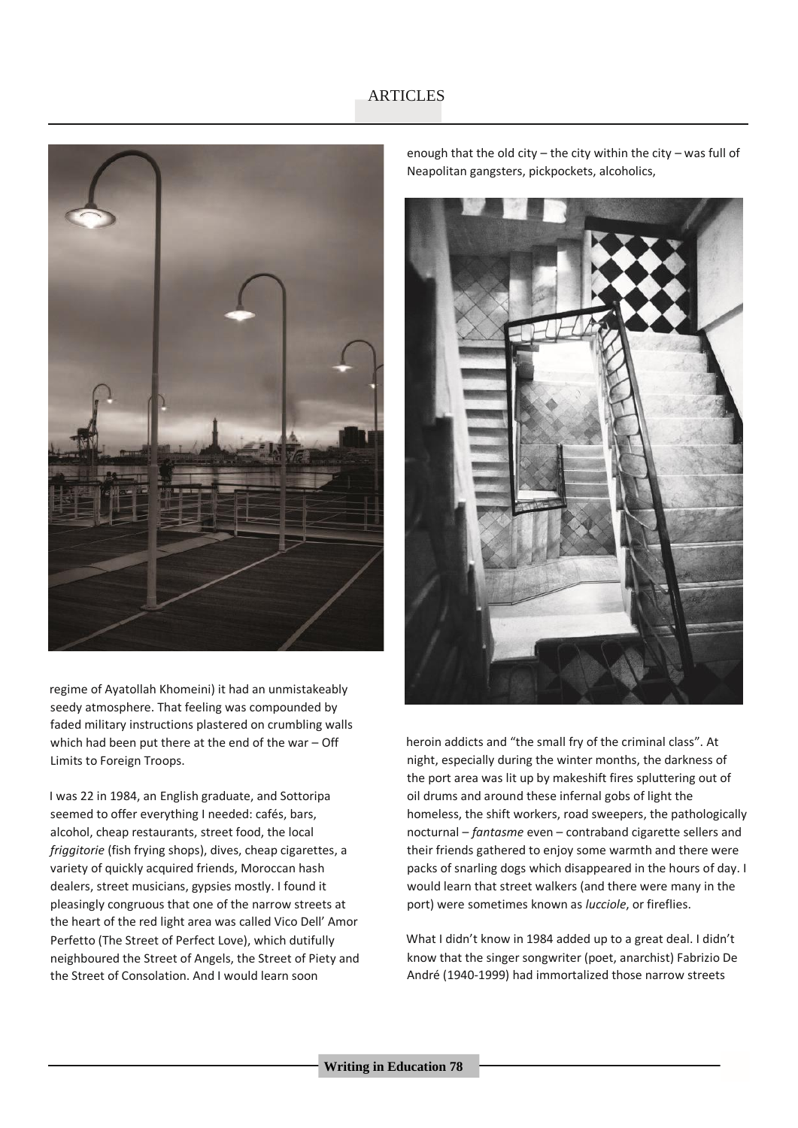

regime of Ayatollah Khomeini) it had an unmistakeably seedy atmosphere. That feeling was compounded by faded military instructions plastered on crumbling walls which had been put there at the end of the war – Off Limits to Foreign Troops.

I was 22 in 1984, an English graduate, and Sottoripa seemed to offer everything I needed: cafés, bars, alcohol, cheap restaurants, street food, the local *friggitorie* (fish frying shops), dives, cheap cigarettes, a variety of quickly acquired friends, Moroccan hash dealers, street musicians, gypsies mostly. I found it pleasingly congruous that one of the narrow streets at the heart of the red light area was called Vico Dell' Amor Perfetto (The Street of Perfect Love), which dutifully neighboured the Street of Angels, the Street of Piety and the Street of Consolation. And I would learn soon

enough that the old city – the city within the city – was full of Neapolitan gangsters, pickpockets, alcoholics,



heroin addicts and "the small fry of the criminal class". At night, especially during the winter months, the darkness of the port area was lit up by makeshift fires spluttering out of oil drums and around these infernal gobs of light the homeless, the shift workers, road sweepers, the pathologically nocturnal – *fantasme* even – contraband cigarette sellers and their friends gathered to enjoy some warmth and there were packs of snarling dogs which disappeared in the hours of day. I would learn that street walkers (and there were many in the port) were sometimes known as *lucciole*, or fireflies.

What I didn't know in 1984 added up to a great deal. I didn't know that the singer songwriter (poet, anarchist) Fabrizio De André (1940-1999) had immortalized those narrow streets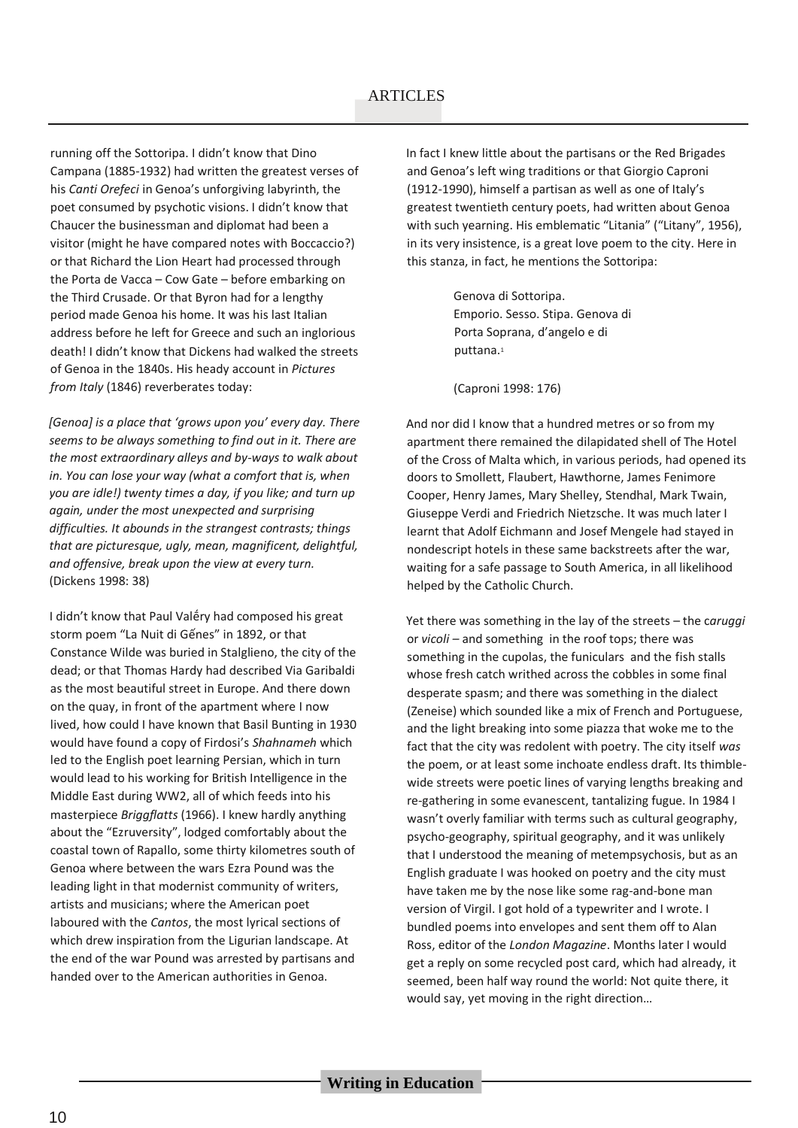### **ARTICLES**

running off the Sottoripa. I didn't know that Dino Campana (1885-1932) had written the greatest verses of his *Canti Orefeci* in Genoa's unforgiving labyrinth, the poet consumed by psychotic visions. I didn't know that Chaucer the businessman and diplomat had been a visitor (might he have compared notes with Boccaccio?) or that Richard the Lion Heart had processed through the Porta de Vacca – Cow Gate – before embarking on the Third Crusade. Or that Byron had for a lengthy period made Genoa his home. It was his last Italian address before he left for Greece and such an inglorious death! I didn't know that Dickens had walked the streets of Genoa in the 1840s. His heady account in *Pictures from Italy* (1846) reverberates today:

*[Genoa] is a place that 'grows upon you' every day. There seems to be always something to find out in it. There are the most extraordinary alleys and by-ways to walk about in. You can lose your way (what a comfort that is, when you are idle!) twenty times a day, if you like; and turn up again, under the most unexpected and surprising difficulties. It abounds in the strangest contrasts; things that are picturesque, ugly, mean, magnificent, delightful, and offensive, break upon the view at every turn.*  (Dickens 1998: 38)

I didn't know that Paul Valḗry had composed his great storm poem "La Nuit di Gếnes" in 1892, or that Constance Wilde was buried in Stalglieno, the city of the dead; or that Thomas Hardy had described Via Garibaldi as the most beautiful street in Europe. And there down on the quay, in front of the apartment where I now lived, how could I have known that Basil Bunting in 1930 would have found a copy of Firdosi's *Shahnameh* which led to the English poet learning Persian, which in turn would lead to his working for British Intelligence in the Middle East during WW2, all of which feeds into his masterpiece *Briggflatts* (1966). I knew hardly anything about the "Ezruversity", lodged comfortably about the coastal town of Rapallo, some thirty kilometres south of Genoa where between the wars Ezra Pound was the leading light in that modernist community of writers, artists and musicians; where the American poet laboured with the *Cantos*, the most lyrical sections of which drew inspiration from the Ligurian landscape. At the end of the war Pound was arrested by partisans and handed over to the American authorities in Genoa.

In fact I knew little about the partisans or the Red Brigades and Genoa's left wing traditions or that Giorgio Caproni (1912-1990), himself a partisan as well as one of Italy's greatest twentieth century poets, had written about Genoa with such yearning. His emblematic "Litania" ("Litany", 1956), in its very insistence, is a great love poem to the city. Here in this stanza, in fact, he mentions the Sottoripa:

> Genova di Sottoripa. Emporio. Sesso. Stipa. Genova di Porta Soprana, d'angelo e di puttana.<sup>1</sup>

(Caproni 1998: 176)

And nor did I know that a hundred metres or so from my apartment there remained the dilapidated shell of The Hotel of the Cross of Malta which, in various periods, had opened its doors to Smollett, Flaubert, Hawthorne, James Fenimore Cooper, Henry James, Mary Shelley, Stendhal, Mark Twain, Giuseppe Verdi and Friedrich Nietzsche. It was much later I learnt that Adolf Eichmann and Josef Mengele had stayed in nondescript hotels in these same backstreets after the war, waiting for a safe passage to South America, in all likelihood helped by the Catholic Church.

Yet there was something in the lay of the streets – the c*aruggi*  or *vicoli –* and something in the roof tops; there was something in the cupolas, the funiculars and the fish stalls whose fresh catch writhed across the cobbles in some final desperate spasm; and there was something in the dialect (Zeneise) which sounded like a mix of French and Portuguese, and the light breaking into some piazza that woke me to the fact that the city was redolent with poetry. The city itself *was*  the poem, or at least some inchoate endless draft. Its thimblewide streets were poetic lines of varying lengths breaking and re-gathering in some evanescent, tantalizing fugue. In 1984 I wasn't overly familiar with terms such as cultural geography, psycho-geography, spiritual geography, and it was unlikely that I understood the meaning of metempsychosis, but as an English graduate I was hooked on poetry and the city must have taken me by the nose like some rag-and-bone man version of Virgil. I got hold of a typewriter and I wrote. I bundled poems into envelopes and sent them off to Alan Ross, editor of the *London Magazine*. Months later I would get a reply on some recycled post card, which had already, it seemed, been half way round the world: Not quite there, it would say, yet moving in the right direction…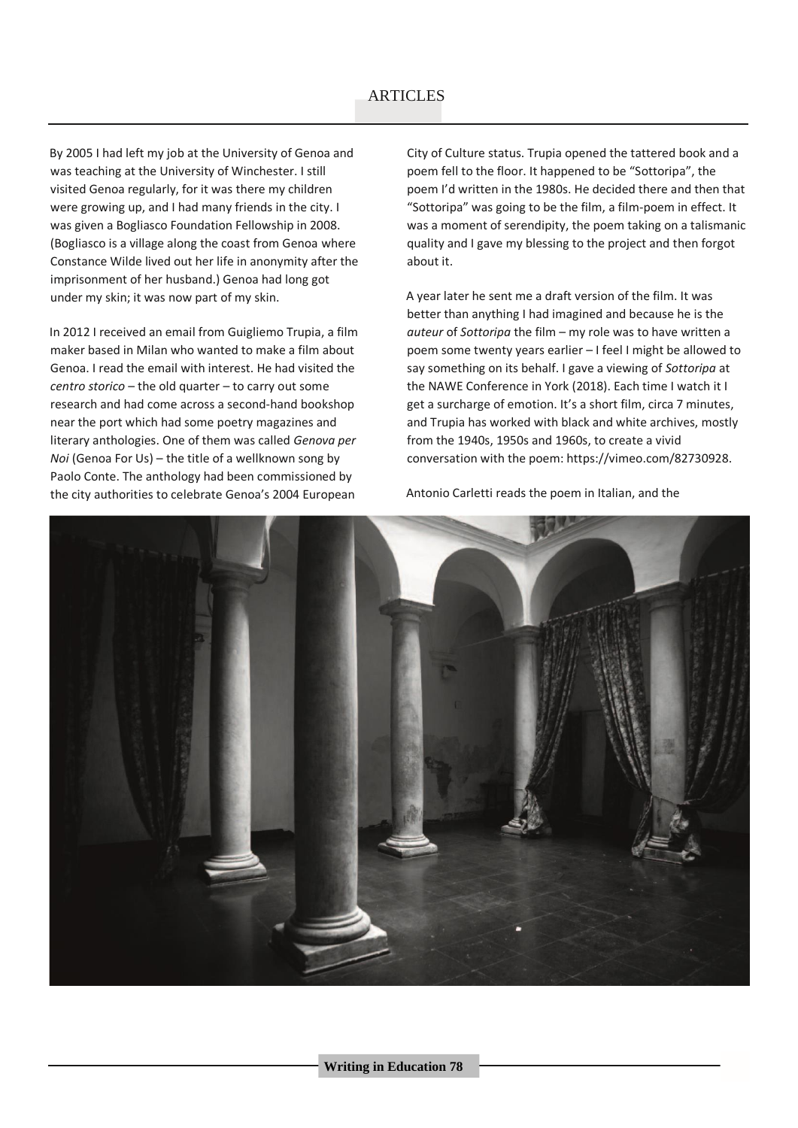### **ARTICLES**

By 2005 I had left my job at the University of Genoa and was teaching at the University of Winchester. I still visited Genoa regularly, for it was there my children were growing up, and I had many friends in the city. I was given a Bogliasco Foundation Fellowship in 2008. (Bogliasco is a village along the coast from Genoa where Constance Wilde lived out her life in anonymity after the imprisonment of her husband.) Genoa had long got under my skin; it was now part of my skin.

In 2012 I received an email from Guigliemo Trupia, a film maker based in Milan who wanted to make a film about Genoa. I read the email with interest. He had visited the *centro storico* – the old quarter – to carry out some research and had come across a second-hand bookshop near the port which had some poetry magazines and literary anthologies. One of them was called *Genova per Noi* (Genoa For Us) – the title of a wellknown song by Paolo Conte. The anthology had been commissioned by the city authorities to celebrate Genoa's 2004 European

City of Culture status. Trupia opened the tattered book and a poem fell to the floor. It happened to be "Sottoripa", the poem I'd written in the 1980s. He decided there and then that "Sottoripa" was going to be the film, a film-poem in effect. It was a moment of serendipity, the poem taking on a talismanic quality and I gave my blessing to the project and then forgot about it.

A year later he sent me a draft version of the film. It was better than anything I had imagined and because he is the *auteur* of *Sottoripa* the film – my role was to have written a poem some twenty years earlier – I feel I might be allowed to say something on its behalf. I gave a viewing of *Sottoripa* at the NAWE Conference in York (2018). Each time I watch it I get a surcharge of emotion. It's a short film, circa 7 minutes, and Trupia has worked with black and white archives, mostly from the 1940s, 1950s and 1960s, to create a vivid conversation with the poem: https://vimeo.com/82730928.

Antonio Carletti reads the poem in Italian, and the

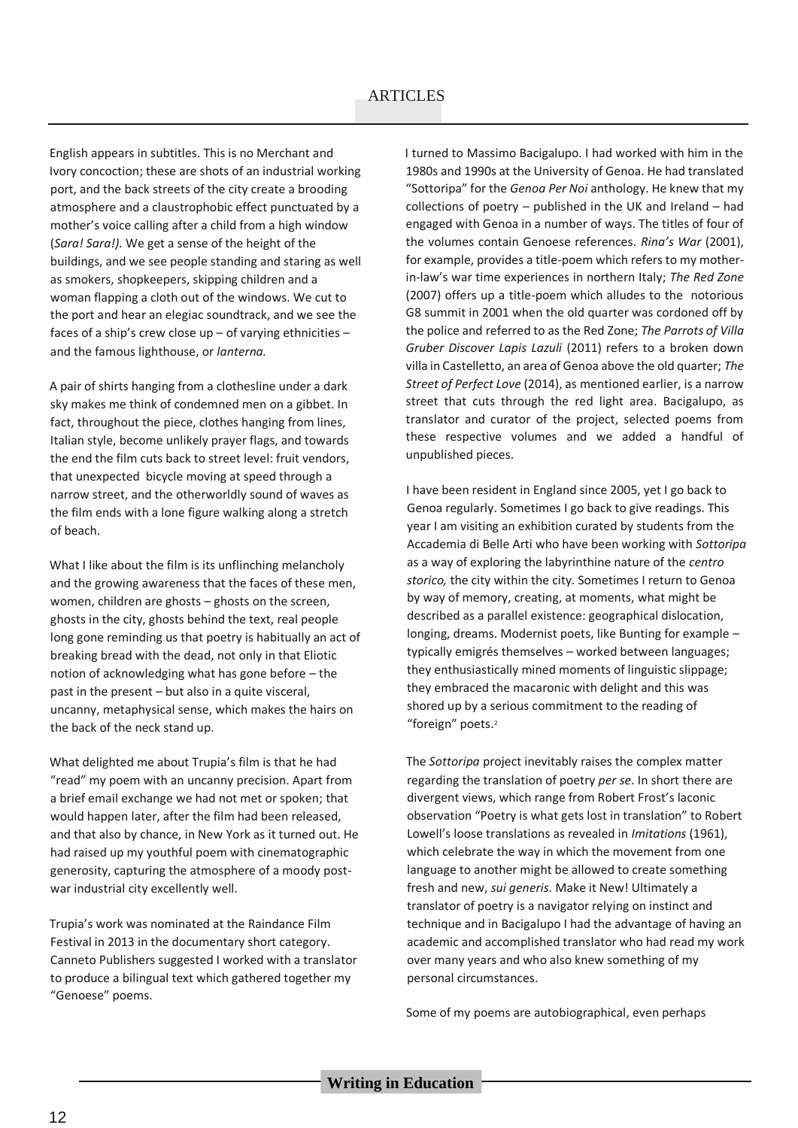English appears in subtitles. This is no Merchant and Ivory concoction; these are shots of an industrial working port, and the back streets of the city create a brooding atmosphere and a claustrophobic effect punctuated by a mother's voice calling after a child from a high window (*Sara! Sara!).* We get a sense of the height of the buildings, and we see people standing and staring as well as smokers, shopkeepers, skipping children and a woman flapping a cloth out of the windows. We cut to the port and hear an elegiac soundtrack, and we see the faces of a ship's crew close up – of varying ethnicities – and the famous lighthouse, or *lanterna.*

A pair of shirts hanging from a clothesline under a dark sky makes me think of condemned men on a gibbet. In fact, throughout the piece, clothes hanging from lines, Italian style, become unlikely prayer flags, and towards the end the film cuts back to street level: fruit vendors, that unexpected bicycle moving at speed through a narrow street, and the otherworldly sound of waves as the film ends with a lone figure walking along a stretch of beach.

What I like about the film is its unflinching melancholy and the growing awareness that the faces of these men, women, children are ghosts – ghosts on the screen, ghosts in the city, ghosts behind the text, real people long gone reminding us that poetry is habitually an act of breaking bread with the dead, not only in that Eliotic notion of acknowledging what has gone before – the past in the present – but also in a quite visceral, uncanny, metaphysical sense, which makes the hairs on the back of the neck stand up.

What delighted me about Trupia's film is that he had "read" my poem with an uncanny precision. Apart from a brief email exchange we had not met or spoken; that would happen later, after the film had been released, and that also by chance, in New York as it turned out. He had raised up my youthful poem with cinematographic generosity, capturing the atmosphere of a moody postwar industrial city excellently well.

Trupia's work was nominated at the Raindance Film Festival in 2013 in the documentary short category. Canneto Publishers suggested I worked with a translator to produce a bilingual text which gathered together my "Genoese" poems.

I turned to Massimo Bacigalupo. I had worked with him in the 1980s and 1990s at the University of Genoa. He had translated "Sottoripa" for the *Genoa Per Noi* anthology. He knew that my collections of poetry – published in the UK and Ireland – had engaged with Genoa in a number of ways. The titles of four of the volumes contain Genoese references. *Rina's War* (2001), for example, provides a title-poem which refers to my motherin-law's war time experiences in northern Italy; *The Red Zone*  (2007) offers up a title-poem which alludes to the notorious G8 summit in 2001 when the old quarter was cordoned off by the police and referred to as the Red Zone; *The Parrots of Villa Gruber Discover Lapis Lazuli* (2011) refers to a broken down villa in Castelletto, an area of Genoa above the old quarter; *The Street of Perfect Love* (2014), as mentioned earlier, is a narrow street that cuts through the red light area. Bacigalupo, as translator and curator of the project, selected poems from these respective volumes and we added a handful of unpublished pieces.

I have been resident in England since 2005, yet I go back to Genoa regularly. Sometimes I go back to give readings. This year I am visiting an exhibition curated by students from the Accademia di Belle Arti who have been working with *Sottoripa*  as a way of exploring the labyrinthine nature of the *centro storico,* the city within the city. Sometimes I return to Genoa by way of memory, creating, at moments, what might be described as a parallel existence: geographical dislocation, longing, dreams. Modernist poets, like Bunting for example – typically emigrés themselves – worked between languages; they enthusiastically mined moments of linguistic slippage; they embraced the macaronic with delight and this was shored up by a serious commitment to the reading of "foreign" poets.<sup>2</sup>

The *Sottoripa* project inevitably raises the complex matter regarding the translation of poetry *per se*. In short there are divergent views, which range from Robert Frost's laconic observation "Poetry is what gets lost in translation" to Robert Lowell's loose translations as revealed in *Imitations* (1961), which celebrate the way in which the movement from one language to another might be allowed to create something fresh and new, *sui generis*. Make it New! Ultimately a translator of poetry is a navigator relying on instinct and technique and in Bacigalupo I had the advantage of having an academic and accomplished translator who had read my work over many years and who also knew something of my personal circumstances.

Some of my poems are autobiographical, even perhaps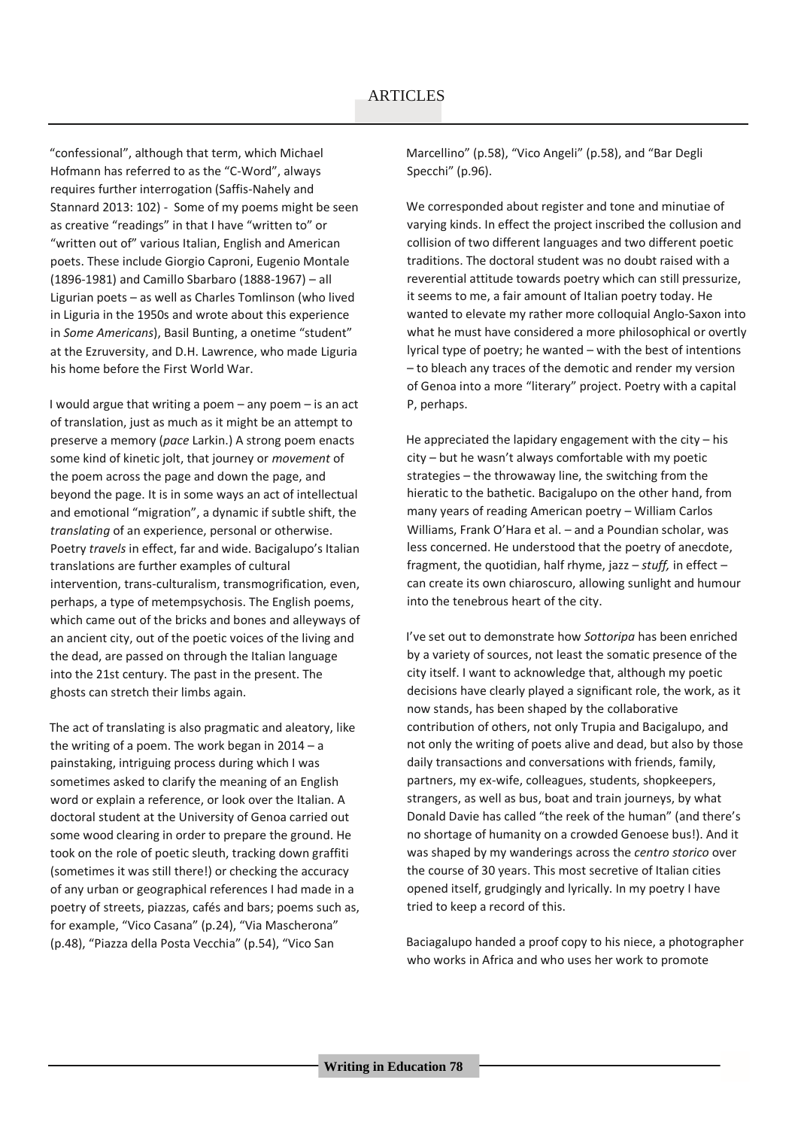"confessional", although that term, which Michael Hofmann has referred to as the "C-Word", always requires further interrogation (Saffis-Nahely and Stannard 2013: 102) - Some of my poems might be seen as creative "readings" in that I have "written to" or "written out of" various Italian, English and American poets. These include Giorgio Caproni, Eugenio Montale (1896-1981) and Camillo Sbarbaro (1888-1967) – all Ligurian poets – as well as Charles Tomlinson (who lived in Liguria in the 1950s and wrote about this experience in *Some Americans*), Basil Bunting, a onetime "student" at the Ezruversity, and D.H. Lawrence, who made Liguria his home before the First World War.

I would argue that writing a poem – any poem – is an act of translation, just as much as it might be an attempt to preserve a memory (*pace* Larkin.) A strong poem enacts some kind of kinetic jolt, that journey or *movement* of the poem across the page and down the page, and beyond the page. It is in some ways an act of intellectual and emotional "migration", a dynamic if subtle shift, the *translating* of an experience, personal or otherwise. Poetry *travels* in effect, far and wide. Bacigalupo's Italian translations are further examples of cultural intervention, trans-culturalism, transmogrification, even, perhaps, a type of metempsychosis. The English poems, which came out of the bricks and bones and alleyways of an ancient city, out of the poetic voices of the living and the dead, are passed on through the Italian language into the 21st century. The past in the present. The ghosts can stretch their limbs again.

The act of translating is also pragmatic and aleatory, like the writing of a poem. The work began in 2014 – a painstaking, intriguing process during which I was sometimes asked to clarify the meaning of an English word or explain a reference, or look over the Italian. A doctoral student at the University of Genoa carried out some wood clearing in order to prepare the ground. He took on the role of poetic sleuth, tracking down graffiti (sometimes it was still there!) or checking the accuracy of any urban or geographical references I had made in a poetry of streets, piazzas, cafés and bars; poems such as, for example, "Vico Casana" (p.24), "Via Mascherona" (p.48), "Piazza della Posta Vecchia" (p.54), "Vico San

Marcellino" (p.58), "Vico Angeli" (p.58), and "Bar Degli Specchi" (p.96).

We corresponded about register and tone and minutiae of varying kinds. In effect the project inscribed the collusion and collision of two different languages and two different poetic traditions. The doctoral student was no doubt raised with a reverential attitude towards poetry which can still pressurize, it seems to me, a fair amount of Italian poetry today. He wanted to elevate my rather more colloquial Anglo-Saxon into what he must have considered a more philosophical or overtly lyrical type of poetry; he wanted – with the best of intentions – to bleach any traces of the demotic and render my version of Genoa into a more "literary" project. Poetry with a capital P, perhaps.

He appreciated the lapidary engagement with the city – his city – but he wasn't always comfortable with my poetic strategies – the throwaway line, the switching from the hieratic to the bathetic. Bacigalupo on the other hand, from many years of reading American poetry – William Carlos Williams, Frank O'Hara et al. – and a Poundian scholar, was less concerned. He understood that the poetry of anecdote, fragment, the quotidian, half rhyme, jazz – *stuff,* in effect – can create its own chiaroscuro, allowing sunlight and humour into the tenebrous heart of the city.

I've set out to demonstrate how *Sottoripa* has been enriched by a variety of sources, not least the somatic presence of the city itself. I want to acknowledge that, although my poetic decisions have clearly played a significant role, the work, as it now stands, has been shaped by the collaborative contribution of others, not only Trupia and Bacigalupo, and not only the writing of poets alive and dead, but also by those daily transactions and conversations with friends, family, partners, my ex-wife, colleagues, students, shopkeepers, strangers, as well as bus, boat and train journeys, by what Donald Davie has called "the reek of the human" (and there's no shortage of humanity on a crowded Genoese bus!). And it was shaped by my wanderings across the *centro storico* over the course of 30 years. This most secretive of Italian cities opened itself, grudgingly and lyrically. In my poetry I have tried to keep a record of this.

Baciagalupo handed a proof copy to his niece, a photographer who works in Africa and who uses her work to promote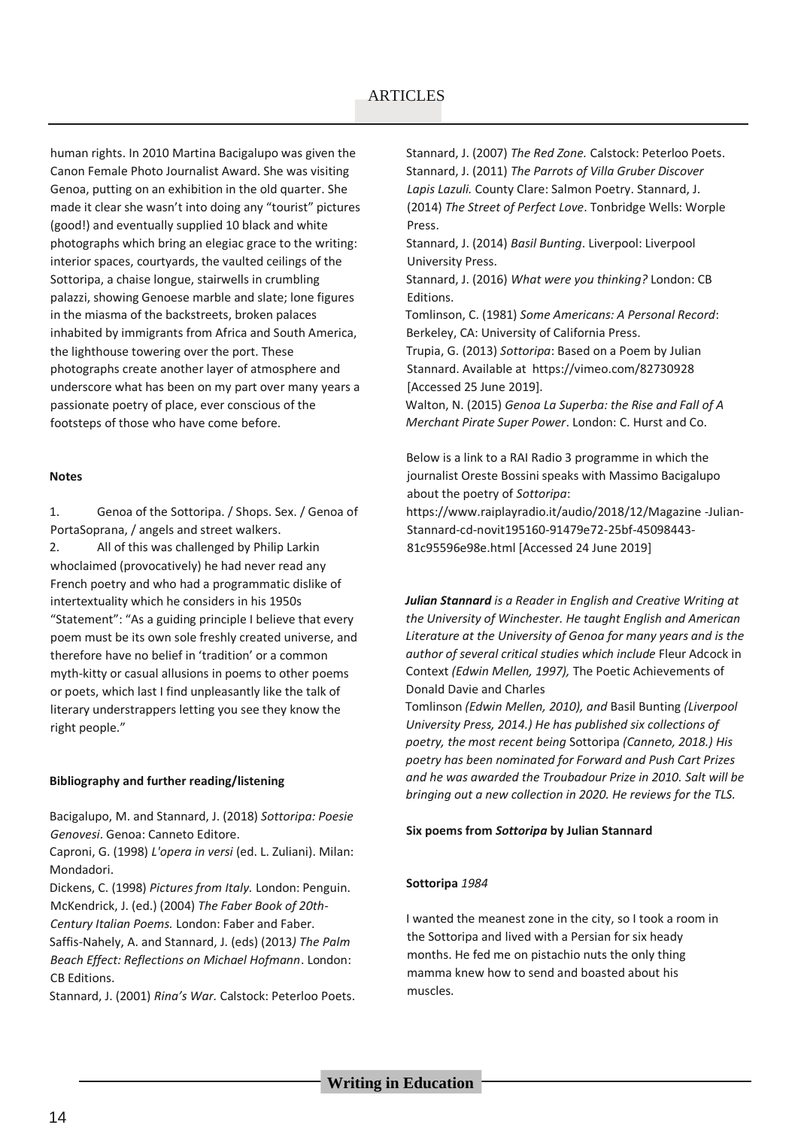human rights. In 2010 Martina Bacigalupo was given the Canon Female Photo Journalist Award. She was visiting Genoa, putting on an exhibition in the old quarter. She made it clear she wasn't into doing any "tourist" pictures (good!) and eventually supplied 10 black and white photographs which bring an elegiac grace to the writing: interior spaces, courtyards, the vaulted ceilings of the Sottoripa, a chaise longue, stairwells in crumbling palazzi, showing Genoese marble and slate; lone figures in the miasma of the backstreets, broken palaces inhabited by immigrants from Africa and South America, the lighthouse towering over the port. These photographs create another layer of atmosphere and underscore what has been on my part over many years a passionate poetry of place, ever conscious of the footsteps of those who have come before.

#### **Notes**

1. Genoa of the Sottoripa. / Shops. Sex. / Genoa of PortaSoprana, / angels and street walkers.

2. All of this was challenged by Philip Larkin whoclaimed (provocatively) he had never read any French poetry and who had a programmatic dislike of intertextuality which he considers in his 1950s "Statement": "As a guiding principle I believe that every poem must be its own sole freshly created universe, and therefore have no belief in 'tradition' or a common myth-kitty or casual allusions in poems to other poems or poets, which last I find unpleasantly like the talk of literary understrappers letting you see they know the right people."

#### **Bibliography and further reading/listening**

Bacigalupo, M. and Stannard, J. (2018) *Sottoripa: Poesie Genovesi*. Genoa: Canneto Editore.

Caproni, G. (1998) *L'opera in versi* (ed. L. Zuliani). Milan: Mondadori.

Dickens, C. (1998) *Pictures from Italy.* London: Penguin. McKendrick, J. (ed.) (2004) *The Faber Book of 20th-*

*Century Italian Poems.* London: Faber and Faber.

Saffis-Nahely, A. and Stannard, J. (eds) (2013*) The Palm Beach Effect: Reflections on Michael Hofmann*. London: CB Editions.

Stannard, J. (2001) *Rina's War.* Calstock: Peterloo Poets.

Stannard, J. (2007) *The Red Zone.* Calstock: Peterloo Poets. Stannard, J. (2011) *The Parrots of Villa Gruber Discover Lapis Lazuli.* County Clare: Salmon Poetry. Stannard, J. (2014) *The Street of Perfect Love*. Tonbridge Wells: Worple Press.

Stannard, J. (2014) *Basil Bunting*. Liverpool: Liverpool University Press.

Stannard, J. (2016) *What were you thinking?* London: CB Editions.

Tomlinson, C. (1981) *Some Americans: A Personal Record*: Berkeley, CA: University of California Press.

Trupia, G. (2013) *Sottoripa*: Based on a Poem by Julian Stannard. Available at https://vimeo.com/82730928 [Accessed 25 June 2019].

Walton, N. (2015) *Genoa La Superba: the Rise and Fall of A Merchant Pirate Super Power*. London: C. Hurst and Co.

Below is a link to a RAI Radio 3 programme in which the journalist Oreste Bossini speaks with Massimo Bacigalupo about the poetry of *Sottoripa*:

https://www.raiplayradio.it/audio/2018/12/Magazine -Julian-Stannard-cd-novit195160-91479e72-25bf-45098443- 81c95596e98e.html [Accessed 24 June 2019]

*Julian Stannard is a Reader in English and Creative Writing at the University of Winchester. He taught English and American Literature at the University of Genoa for many years and is the author of several critical studies which include* Fleur Adcock in Context *(Edwin Mellen, 1997),* The Poetic Achievements of Donald Davie and Charles

Tomlinson *(Edwin Mellen, 2010), and* Basil Bunting *(Liverpool University Press, 2014.) He has published six collections of poetry, the most recent being* Sottoripa *(Canneto, 2018.) His poetry has been nominated for Forward and Push Cart Prizes and he was awarded the Troubadour Prize in 2010. Salt will be bringing out a new collection in 2020. He reviews for the TLS.*

#### **Six poems from** *Sottoripa* **by Julian Stannard**

#### **Sottoripa** *1984*

I wanted the meanest zone in the city, so I took a room in the Sottoripa and lived with a Persian for six heady months. He fed me on pistachio nuts the only thing mamma knew how to send and boasted about his muscles.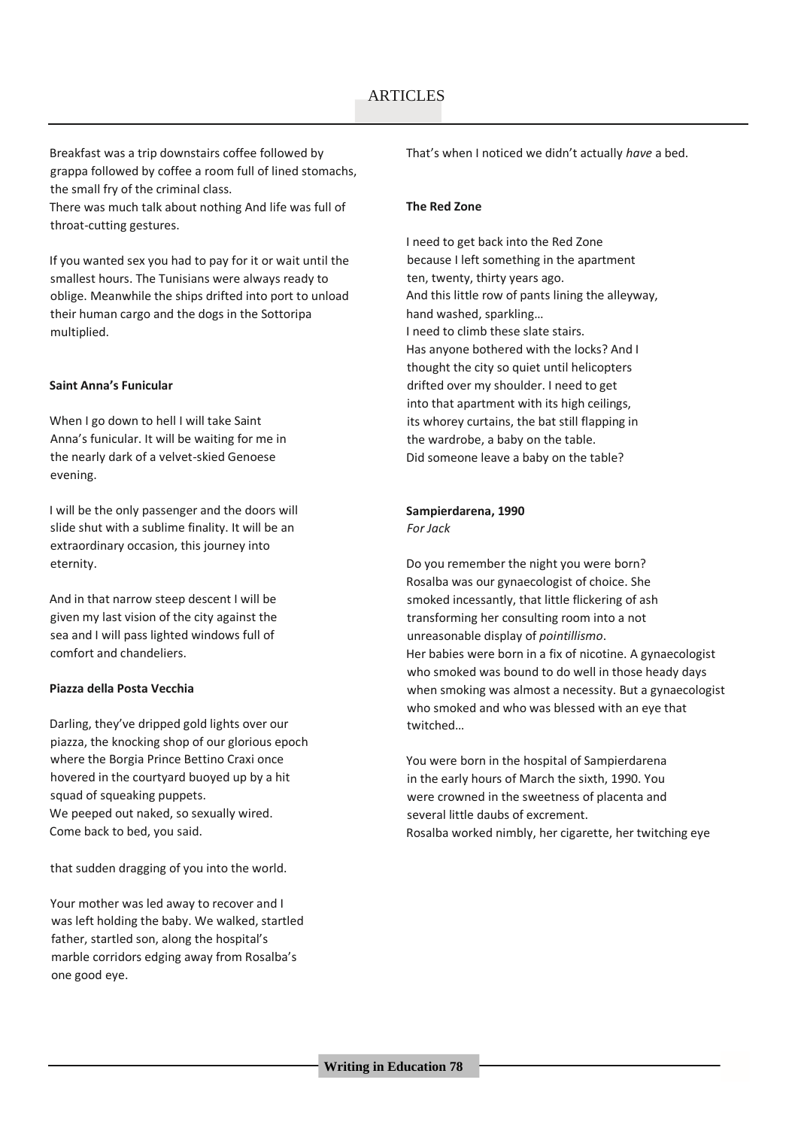Breakfast was a trip downstairs coffee followed by grappa followed by coffee a room full of lined stomachs, the small fry of the criminal class.

There was much talk about nothing And life was full of throat-cutting gestures.

If you wanted sex you had to pay for it or wait until the smallest hours. The Tunisians were always ready to oblige. Meanwhile the ships drifted into port to unload their human cargo and the dogs in the Sottoripa multiplied.

#### **Saint Anna's Funicular**

When I go down to hell I will take Saint Anna's funicular. It will be waiting for me in the nearly dark of a velvet-skied Genoese evening.

I will be the only passenger and the doors will slide shut with a sublime finality. It will be an extraordinary occasion, this journey into eternity.

And in that narrow steep descent I will be given my last vision of the city against the sea and I will pass lighted windows full of comfort and chandeliers.

#### **Piazza della Posta Vecchia**

Darling, they've dripped gold lights over our piazza, the knocking shop of our glorious epoch where the Borgia Prince Bettino Craxi once hovered in the courtyard buoyed up by a hit squad of squeaking puppets. We peeped out naked, so sexually wired. Come back to bed, you said.

that sudden dragging of you into the world.

Your mother was led away to recover and I was left holding the baby. We walked, startled father, startled son, along the hospital's marble corridors edging away from Rosalba's one good eye.

That's when I noticed we didn't actually *have* a bed.

#### **The Red Zone**

I need to get back into the Red Zone because I left something in the apartment ten, twenty, thirty years ago. And this little row of pants lining the alleyway, hand washed, sparkling… I need to climb these slate stairs. Has anyone bothered with the locks? And I thought the city so quiet until helicopters drifted over my shoulder. I need to get into that apartment with its high ceilings, its whorey curtains, the bat still flapping in the wardrobe, a baby on the table. Did someone leave a baby on the table?

#### **Sampierdarena, 1990**

*For Jack*

Do you remember the night you were born? Rosalba was our gynaecologist of choice. She smoked incessantly, that little flickering of ash transforming her consulting room into a not unreasonable display of *pointillismo*. Her babies were born in a fix of nicotine. A gynaecologist who smoked was bound to do well in those heady days when smoking was almost a necessity. But a gynaecologist who smoked and who was blessed with an eye that twitched…

You were born in the hospital of Sampierdarena in the early hours of March the sixth, 1990. You were crowned in the sweetness of placenta and several little daubs of excrement. Rosalba worked nimbly, her cigarette, her twitching eye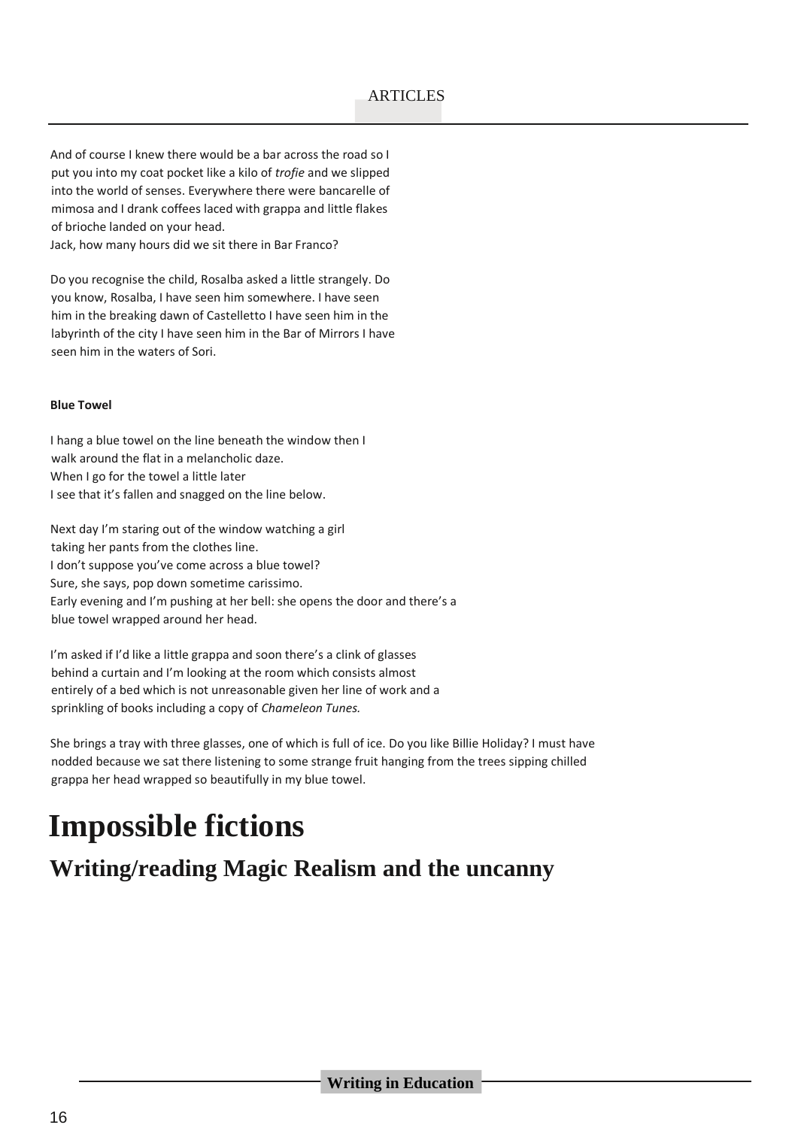And of course I knew there would be a bar across the road so I put you into my coat pocket like a kilo of *trofie* and we slipped into the world of senses. Everywhere there were bancarelle of mimosa and I drank coffees laced with grappa and little flakes of brioche landed on your head.

Jack, how many hours did we sit there in Bar Franco?

Do you recognise the child, Rosalba asked a little strangely. Do you know, Rosalba, I have seen him somewhere. I have seen him in the breaking dawn of Castelletto I have seen him in the labyrinth of the city I have seen him in the Bar of Mirrors I have seen him in the waters of Sori.

#### **Blue Towel**

I hang a blue towel on the line beneath the window then I walk around the flat in a melancholic daze. When I go for the towel a little later I see that it's fallen and snagged on the line below.

Next day I'm staring out of the window watching a girl taking her pants from the clothes line. I don't suppose you've come across a blue towel? Sure, she says, pop down sometime carissimo. Early evening and I'm pushing at her bell: she opens the door and there's a blue towel wrapped around her head.

I'm asked if I'd like a little grappa and soon there's a clink of glasses behind a curtain and I'm looking at the room which consists almost entirely of a bed which is not unreasonable given her line of work and a sprinkling of books including a copy of *Chameleon Tunes.*

She brings a tray with three glasses, one of which is full of ice. Do you like Billie Holiday? I must have nodded because we sat there listening to some strange fruit hanging from the trees sipping chilled grappa her head wrapped so beautifully in my blue towel.

# **Impossible fictions**

## **Writing/reading Magic Realism and the uncanny**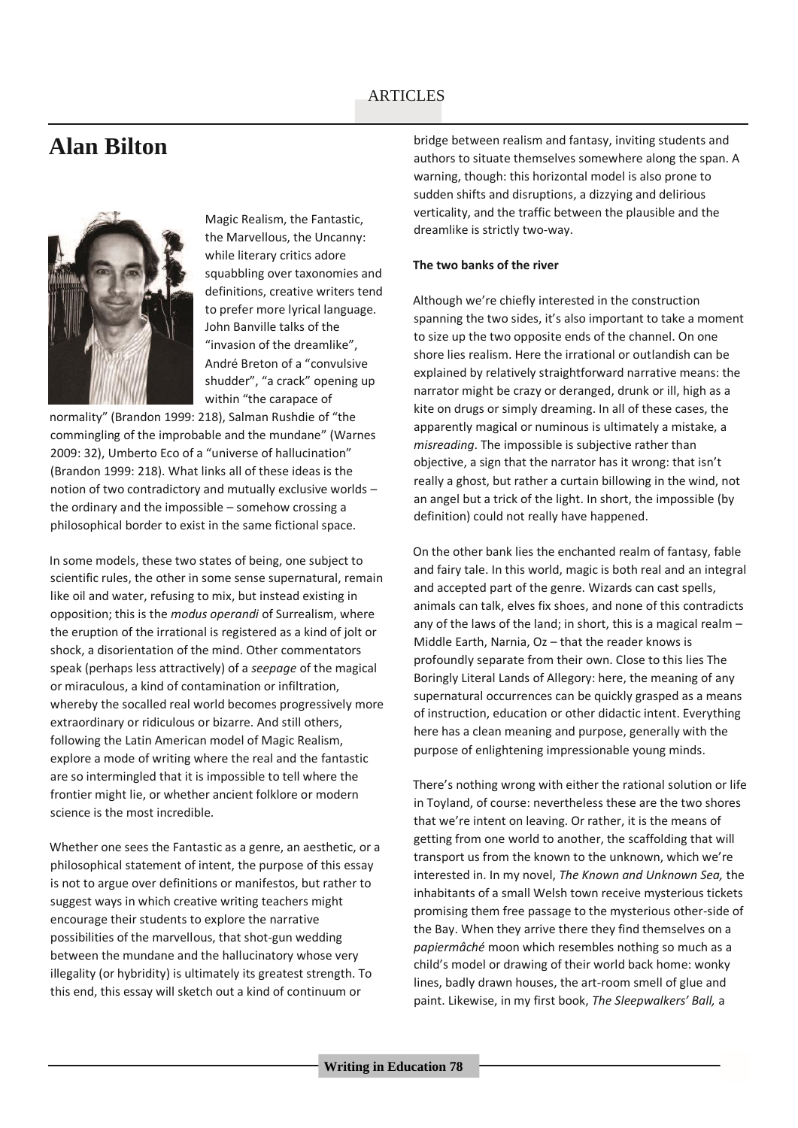## **Alan Bilton**



Magic Realism, the Fantastic, the Marvellous, the Uncanny: while literary critics adore squabbling over taxonomies and definitions, creative writers tend to prefer more lyrical language. John Banville talks of the "invasion of the dreamlike", André Breton of a "convulsive shudder", "a crack" opening up within "the carapace of

normality" (Brandon 1999: 218), Salman Rushdie of "the commingling of the improbable and the mundane" (Warnes 2009: 32), Umberto Eco of a "universe of hallucination" (Brandon 1999: 218). What links all of these ideas is the notion of two contradictory and mutually exclusive worlds – the ordinary and the impossible – somehow crossing a philosophical border to exist in the same fictional space.

In some models, these two states of being, one subject to scientific rules, the other in some sense supernatural, remain like oil and water, refusing to mix, but instead existing in opposition; this is the *modus operandi* of Surrealism, where the eruption of the irrational is registered as a kind of jolt or shock, a disorientation of the mind. Other commentators speak (perhaps less attractively) of a *seepage* of the magical or miraculous, a kind of contamination or infiltration, whereby the socalled real world becomes progressively more extraordinary or ridiculous or bizarre. And still others, following the Latin American model of Magic Realism, explore a mode of writing where the real and the fantastic are so intermingled that it is impossible to tell where the frontier might lie, or whether ancient folklore or modern science is the most incredible.

Whether one sees the Fantastic as a genre, an aesthetic, or a philosophical statement of intent, the purpose of this essay is not to argue over definitions or manifestos, but rather to suggest ways in which creative writing teachers might encourage their students to explore the narrative possibilities of the marvellous, that shot-gun wedding between the mundane and the hallucinatory whose very illegality (or hybridity) is ultimately its greatest strength. To this end, this essay will sketch out a kind of continuum or

bridge between realism and fantasy, inviting students and authors to situate themselves somewhere along the span. A warning, though: this horizontal model is also prone to sudden shifts and disruptions, a dizzying and delirious verticality, and the traffic between the plausible and the dreamlike is strictly two-way.

#### **The two banks of the river**

Although we're chiefly interested in the construction spanning the two sides, it's also important to take a moment to size up the two opposite ends of the channel. On one shore lies realism. Here the irrational or outlandish can be explained by relatively straightforward narrative means: the narrator might be crazy or deranged, drunk or ill, high as a kite on drugs or simply dreaming. In all of these cases, the apparently magical or numinous is ultimately a mistake, a *misreading*. The impossible is subjective rather than objective, a sign that the narrator has it wrong: that isn't really a ghost, but rather a curtain billowing in the wind, not an angel but a trick of the light. In short, the impossible (by definition) could not really have happened.

On the other bank lies the enchanted realm of fantasy, fable and fairy tale. In this world, magic is both real and an integral and accepted part of the genre. Wizards can cast spells, animals can talk, elves fix shoes, and none of this contradicts any of the laws of the land; in short, this is a magical realm – Middle Earth, Narnia, Oz – that the reader knows is profoundly separate from their own. Close to this lies The Boringly Literal Lands of Allegory: here, the meaning of any supernatural occurrences can be quickly grasped as a means of instruction, education or other didactic intent. Everything here has a clean meaning and purpose, generally with the purpose of enlightening impressionable young minds.

There's nothing wrong with either the rational solution or life in Toyland, of course: nevertheless these are the two shores that we're intent on leaving. Or rather, it is the means of getting from one world to another, the scaffolding that will transport us from the known to the unknown, which we're interested in. In my novel, *The Known and Unknown Sea,* the inhabitants of a small Welsh town receive mysterious tickets promising them free passage to the mysterious other-side of the Bay. When they arrive there they find themselves on a *papiermâché* moon which resembles nothing so much as a child's model or drawing of their world back home: wonky lines, badly drawn houses, the art-room smell of glue and paint. Likewise, in my first book, *The Sleepwalkers' Ball,* a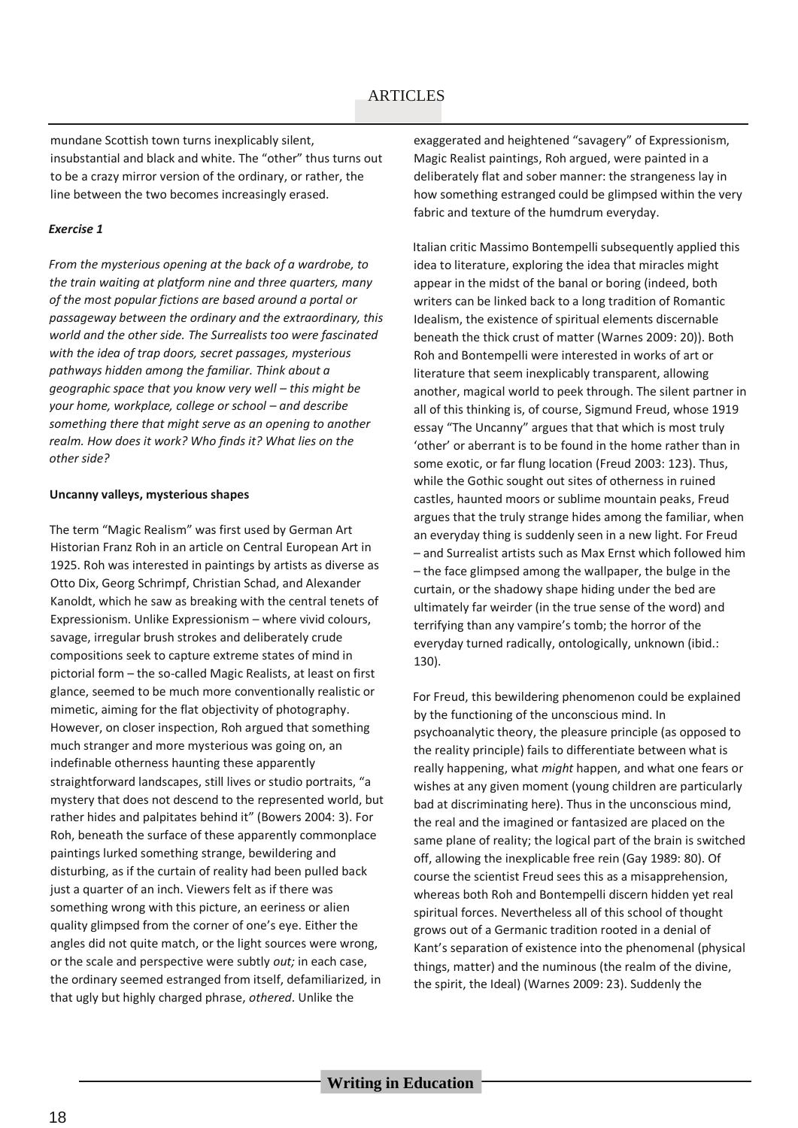mundane Scottish town turns inexplicably silent, insubstantial and black and white. The "other" thus turns out to be a crazy mirror version of the ordinary, or rather, the line between the two becomes increasingly erased.

#### *Exercise 1*

*From the mysterious opening at the back of a wardrobe, to the train waiting at platform nine and three quarters, many of the most popular fictions are based around a portal or passageway between the ordinary and the extraordinary, this world and the other side. The Surrealists too were fascinated with the idea of trap doors, secret passages, mysterious pathways hidden among the familiar. Think about a geographic space that you know very well – this might be your home, workplace, college or school – and describe something there that might serve as an opening to another realm. How does it work? Who finds it? What lies on the other side?*

#### **Uncanny valleys, mysterious shapes**

The term "Magic Realism" was first used by German Art Historian Franz Roh in an article on Central European Art in 1925. Roh was interested in paintings by artists as diverse as Otto Dix, Georg Schrimpf, Christian Schad, and Alexander Kanoldt, which he saw as breaking with the central tenets of Expressionism. Unlike Expressionism – where vivid colours, savage, irregular brush strokes and deliberately crude compositions seek to capture extreme states of mind in pictorial form – the so-called Magic Realists, at least on first glance, seemed to be much more conventionally realistic or mimetic, aiming for the flat objectivity of photography. However, on closer inspection, Roh argued that something much stranger and more mysterious was going on, an indefinable otherness haunting these apparently straightforward landscapes, still lives or studio portraits, "a mystery that does not descend to the represented world, but rather hides and palpitates behind it" (Bowers 2004: 3). For Roh, beneath the surface of these apparently commonplace paintings lurked something strange, bewildering and disturbing, as if the curtain of reality had been pulled back just a quarter of an inch. Viewers felt as if there was something wrong with this picture, an eeriness or alien quality glimpsed from the corner of one's eye. Either the angles did not quite match, or the light sources were wrong, or the scale and perspective were subtly *out;* in each case, the ordinary seemed estranged from itself, defamiliarized*,* in that ugly but highly charged phrase, *othered*. Unlike the

exaggerated and heightened "savagery" of Expressionism, Magic Realist paintings, Roh argued, were painted in a deliberately flat and sober manner: the strangeness lay in how something estranged could be glimpsed within the very fabric and texture of the humdrum everyday.

Italian critic Massimo Bontempelli subsequently applied this idea to literature, exploring the idea that miracles might appear in the midst of the banal or boring (indeed, both writers can be linked back to a long tradition of Romantic Idealism, the existence of spiritual elements discernable beneath the thick crust of matter (Warnes 2009: 20)). Both Roh and Bontempelli were interested in works of art or literature that seem inexplicably transparent, allowing another, magical world to peek through. The silent partner in all of this thinking is, of course, Sigmund Freud, whose 1919 essay "The Uncanny" argues that that which is most truly 'other' or aberrant is to be found in the home rather than in some exotic, or far flung location (Freud 2003: 123). Thus, while the Gothic sought out sites of otherness in ruined castles, haunted moors or sublime mountain peaks, Freud argues that the truly strange hides among the familiar, when an everyday thing is suddenly seen in a new light. For Freud – and Surrealist artists such as Max Ernst which followed him – the face glimpsed among the wallpaper, the bulge in the curtain, or the shadowy shape hiding under the bed are ultimately far weirder (in the true sense of the word) and terrifying than any vampire's tomb; the horror of the everyday turned radically, ontologically, unknown (ibid.: 130).

For Freud, this bewildering phenomenon could be explained by the functioning of the unconscious mind. In psychoanalytic theory, the pleasure principle (as opposed to the reality principle) fails to differentiate between what is really happening, what *might* happen, and what one fears or wishes at any given moment (young children are particularly bad at discriminating here). Thus in the unconscious mind, the real and the imagined or fantasized are placed on the same plane of reality; the logical part of the brain is switched off, allowing the inexplicable free rein (Gay 1989: 80). Of course the scientist Freud sees this as a misapprehension, whereas both Roh and Bontempelli discern hidden yet real spiritual forces. Nevertheless all of this school of thought grows out of a Germanic tradition rooted in a denial of Kant's separation of existence into the phenomenal (physical things, matter) and the numinous (the realm of the divine, the spirit, the Ideal) (Warnes 2009: 23). Suddenly the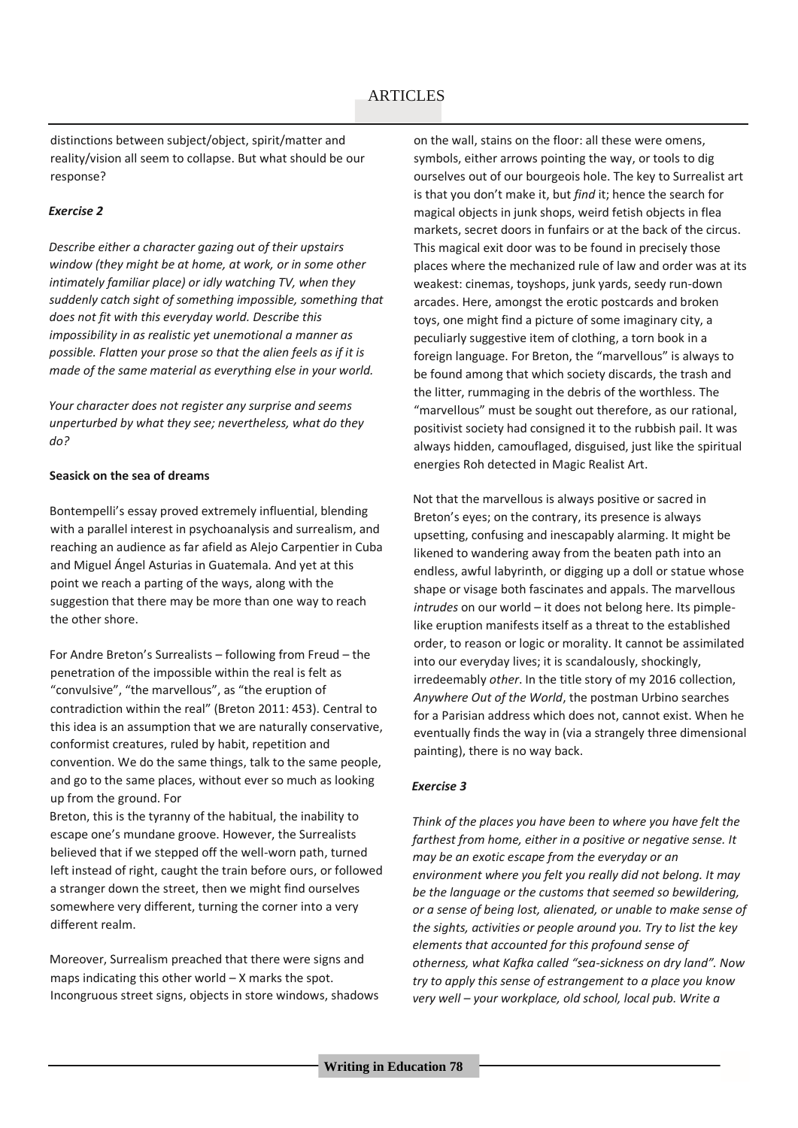distinctions between subject/object, spirit/matter and reality/vision all seem to collapse. But what should be our response?

#### *Exercise 2*

*Describe either a character gazing out of their upstairs window (they might be at home, at work, or in some other intimately familiar place) or idly watching TV, when they suddenly catch sight of something impossible, something that does not fit with this everyday world. Describe this impossibility in as realistic yet unemotional a manner as possible. Flatten your prose so that the alien feels as if it is made of the same material as everything else in your world.*

*Your character does not register any surprise and seems unperturbed by what they see; nevertheless, what do they do?*

#### **Seasick on the sea of dreams**

Bontempelli's essay proved extremely influential, blending with a parallel interest in psychoanalysis and surrealism, and reaching an audience as far afield as Alejo Carpentier in Cuba and Miguel Ángel Asturias in Guatemala. And yet at this point we reach a parting of the ways, along with the suggestion that there may be more than one way to reach the other shore.

For Andre Breton's Surrealists – following from Freud – the penetration of the impossible within the real is felt as "convulsive", "the marvellous", as "the eruption of contradiction within the real" (Breton 2011: 453). Central to this idea is an assumption that we are naturally conservative, conformist creatures, ruled by habit, repetition and convention. We do the same things, talk to the same people, and go to the same places, without ever so much as looking up from the ground. For

Breton, this is the tyranny of the habitual, the inability to escape one's mundane groove. However, the Surrealists believed that if we stepped off the well-worn path, turned left instead of right, caught the train before ours, or followed a stranger down the street, then we might find ourselves somewhere very different, turning the corner into a very different realm.

Moreover, Surrealism preached that there were signs and maps indicating this other world  $-$  X marks the spot. Incongruous street signs, objects in store windows, shadows on the wall, stains on the floor: all these were omens, symbols, either arrows pointing the way, or tools to dig ourselves out of our bourgeois hole. The key to Surrealist art is that you don't make it, but *find* it; hence the search for magical objects in junk shops, weird fetish objects in flea markets, secret doors in funfairs or at the back of the circus. This magical exit door was to be found in precisely those places where the mechanized rule of law and order was at its weakest: cinemas, toyshops, junk yards, seedy run-down arcades. Here, amongst the erotic postcards and broken toys, one might find a picture of some imaginary city, a peculiarly suggestive item of clothing, a torn book in a foreign language. For Breton, the "marvellous" is always to be found among that which society discards, the trash and the litter, rummaging in the debris of the worthless. The "marvellous" must be sought out therefore, as our rational, positivist society had consigned it to the rubbish pail. It was always hidden, camouflaged, disguised, just like the spiritual energies Roh detected in Magic Realist Art.

Not that the marvellous is always positive or sacred in Breton's eyes; on the contrary, its presence is always upsetting, confusing and inescapably alarming. It might be likened to wandering away from the beaten path into an endless, awful labyrinth, or digging up a doll or statue whose shape or visage both fascinates and appals. The marvellous *intrudes* on our world – it does not belong here. Its pimplelike eruption manifests itself as a threat to the established order, to reason or logic or morality. It cannot be assimilated into our everyday lives; it is scandalously, shockingly, irredeemably *other*. In the title story of my 2016 collection, *Anywhere Out of the World*, the postman Urbino searches for a Parisian address which does not, cannot exist. When he eventually finds the way in (via a strangely three dimensional painting), there is no way back.

#### *Exercise 3*

*Think of the places you have been to where you have felt the farthest from home, either in a positive or negative sense. It may be an exotic escape from the everyday or an environment where you felt you really did not belong. It may be the language or the customs that seemed so bewildering, or a sense of being lost, alienated, or unable to make sense of the sights, activities or people around you. Try to list the key elements that accounted for this profound sense of otherness, what Kafka called "sea-sickness on dry land". Now try to apply this sense of estrangement to a place you know very well – your workplace, old school, local pub. Write a*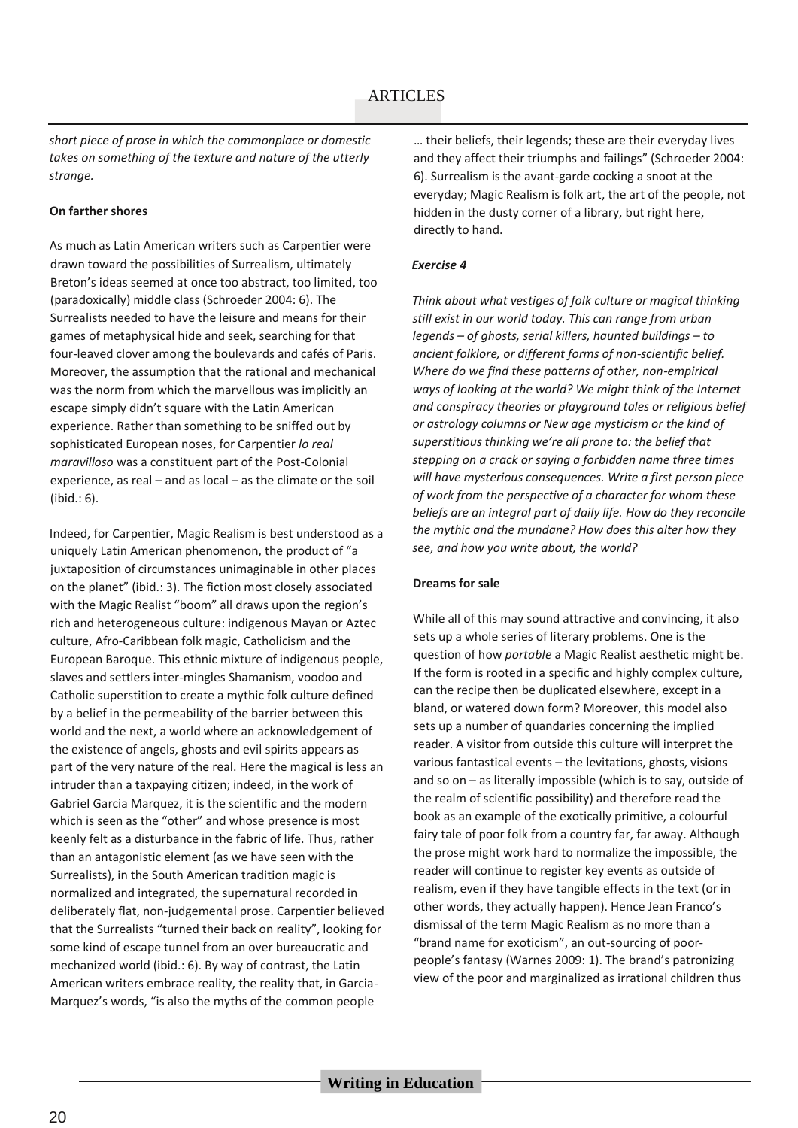*short piece of prose in which the commonplace or domestic takes on something of the texture and nature of the utterly strange.* 

#### **On farther shores**

As much as Latin American writers such as Carpentier were drawn toward the possibilities of Surrealism, ultimately Breton's ideas seemed at once too abstract, too limited, too (paradoxically) middle class (Schroeder 2004: 6). The Surrealists needed to have the leisure and means for their games of metaphysical hide and seek, searching for that four-leaved clover among the boulevards and cafés of Paris. Moreover, the assumption that the rational and mechanical was the norm from which the marvellous was implicitly an escape simply didn't square with the Latin American experience. Rather than something to be sniffed out by sophisticated European noses, for Carpentier *lo real maravilloso* was a constituent part of the Post-Colonial experience, as real – and as local – as the climate or the soil (ibid.: 6).

Indeed, for Carpentier, Magic Realism is best understood as a uniquely Latin American phenomenon, the product of "a juxtaposition of circumstances unimaginable in other places on the planet" (ibid.: 3). The fiction most closely associated with the Magic Realist "boom" all draws upon the region's rich and heterogeneous culture: indigenous Mayan or Aztec culture, Afro-Caribbean folk magic, Catholicism and the European Baroque. This ethnic mixture of indigenous people, slaves and settlers inter-mingles Shamanism, voodoo and Catholic superstition to create a mythic folk culture defined by a belief in the permeability of the barrier between this world and the next, a world where an acknowledgement of the existence of angels, ghosts and evil spirits appears as part of the very nature of the real. Here the magical is less an intruder than a taxpaying citizen; indeed, in the work of Gabriel Garcia Marquez, it is the scientific and the modern which is seen as the "other" and whose presence is most keenly felt as a disturbance in the fabric of life. Thus, rather than an antagonistic element (as we have seen with the Surrealists), in the South American tradition magic is normalized and integrated, the supernatural recorded in deliberately flat, non-judgemental prose. Carpentier believed that the Surrealists "turned their back on reality", looking for some kind of escape tunnel from an over bureaucratic and mechanized world (ibid.: 6). By way of contrast, the Latin American writers embrace reality, the reality that, in Garcia-Marquez's words, "is also the myths of the common people

… their beliefs, their legends; these are their everyday lives and they affect their triumphs and failings" (Schroeder 2004: 6). Surrealism is the avant-garde cocking a snoot at the everyday; Magic Realism is folk art, the art of the people, not hidden in the dusty corner of a library, but right here, directly to hand.

#### *Exercise 4*

*Think about what vestiges of folk culture or magical thinking still exist in our world today. This can range from urban legends – of ghosts, serial killers, haunted buildings – to ancient folklore, or different forms of non-scientific belief. Where do we find these patterns of other, non-empirical ways of looking at the world? We might think of the Internet and conspiracy theories or playground tales or religious belief or astrology columns or New age mysticism or the kind of superstitious thinking we're all prone to: the belief that stepping on a crack or saying a forbidden name three times will have mysterious consequences. Write a first person piece of work from the perspective of a character for whom these beliefs are an integral part of daily life. How do they reconcile the mythic and the mundane? How does this alter how they see, and how you write about, the world?*

#### **Dreams for sale**

While all of this may sound attractive and convincing, it also sets up a whole series of literary problems. One is the question of how *portable* a Magic Realist aesthetic might be. If the form is rooted in a specific and highly complex culture, can the recipe then be duplicated elsewhere, except in a bland, or watered down form? Moreover, this model also sets up a number of quandaries concerning the implied reader. A visitor from outside this culture will interpret the various fantastical events – the levitations, ghosts, visions and so on – as literally impossible (which is to say, outside of the realm of scientific possibility) and therefore read the book as an example of the exotically primitive, a colourful fairy tale of poor folk from a country far, far away. Although the prose might work hard to normalize the impossible, the reader will continue to register key events as outside of realism, even if they have tangible effects in the text (or in other words, they actually happen). Hence Jean Franco's dismissal of the term Magic Realism as no more than a "brand name for exoticism", an out-sourcing of poorpeople's fantasy (Warnes 2009: 1). The brand's patronizing view of the poor and marginalized as irrational children thus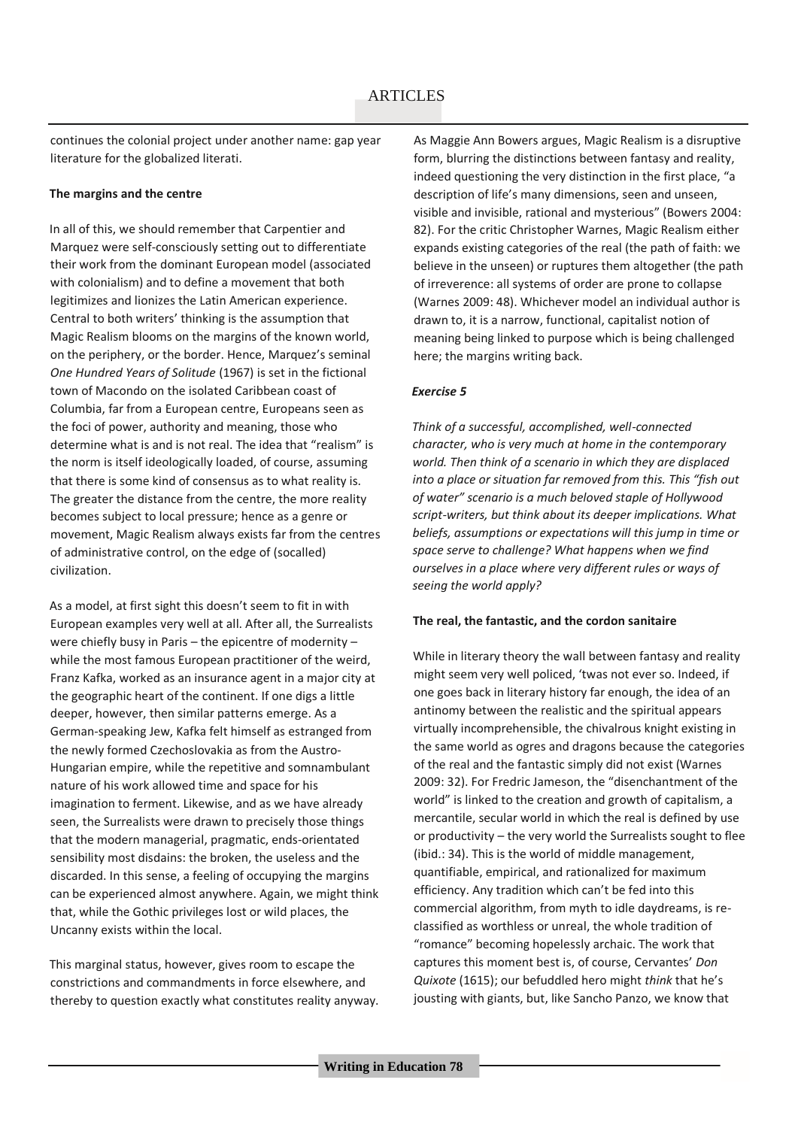continues the colonial project under another name: gap year literature for the globalized literati.

#### **The margins and the centre**

In all of this, we should remember that Carpentier and Marquez were self-consciously setting out to differentiate their work from the dominant European model (associated with colonialism) and to define a movement that both legitimizes and lionizes the Latin American experience. Central to both writers' thinking is the assumption that Magic Realism blooms on the margins of the known world, on the periphery, or the border. Hence, Marquez's seminal *One Hundred Years of Solitude* (1967) is set in the fictional town of Macondo on the isolated Caribbean coast of Columbia, far from a European centre, Europeans seen as the foci of power, authority and meaning, those who determine what is and is not real. The idea that "realism" is the norm is itself ideologically loaded, of course, assuming that there is some kind of consensus as to what reality is. The greater the distance from the centre, the more reality becomes subject to local pressure; hence as a genre or movement, Magic Realism always exists far from the centres of administrative control, on the edge of (socalled) civilization.

As a model, at first sight this doesn't seem to fit in with European examples very well at all. After all, the Surrealists were chiefly busy in Paris – the epicentre of modernity – while the most famous European practitioner of the weird, Franz Kafka, worked as an insurance agent in a major city at the geographic heart of the continent. If one digs a little deeper, however, then similar patterns emerge. As a German-speaking Jew, Kafka felt himself as estranged from the newly formed Czechoslovakia as from the Austro-Hungarian empire, while the repetitive and somnambulant nature of his work allowed time and space for his imagination to ferment. Likewise, and as we have already seen, the Surrealists were drawn to precisely those things that the modern managerial, pragmatic, ends-orientated sensibility most disdains: the broken, the useless and the discarded. In this sense, a feeling of occupying the margins can be experienced almost anywhere. Again, we might think that, while the Gothic privileges lost or wild places, the Uncanny exists within the local.

This marginal status, however, gives room to escape the constrictions and commandments in force elsewhere, and thereby to question exactly what constitutes reality anyway. As Maggie Ann Bowers argues, Magic Realism is a disruptive form, blurring the distinctions between fantasy and reality, indeed questioning the very distinction in the first place, "a description of life's many dimensions, seen and unseen, visible and invisible, rational and mysterious" (Bowers 2004: 82). For the critic Christopher Warnes, Magic Realism either expands existing categories of the real (the path of faith: we believe in the unseen) or ruptures them altogether (the path of irreverence: all systems of order are prone to collapse (Warnes 2009: 48). Whichever model an individual author is drawn to, it is a narrow, functional, capitalist notion of meaning being linked to purpose which is being challenged here; the margins writing back.

#### *Exercise 5*

*Think of a successful, accomplished, well-connected character, who is very much at home in the contemporary world. Then think of a scenario in which they are displaced into a place or situation far removed from this. This "fish out of water" scenario is a much beloved staple of Hollywood script-writers, but think about its deeper implications. What beliefs, assumptions or expectations will this jump in time or space serve to challenge? What happens when we find ourselves in a place where very different rules or ways of seeing the world apply?*

#### **The real, the fantastic, and the cordon sanitaire**

While in literary theory the wall between fantasy and reality might seem very well policed, 'twas not ever so. Indeed, if one goes back in literary history far enough, the idea of an antinomy between the realistic and the spiritual appears virtually incomprehensible, the chivalrous knight existing in the same world as ogres and dragons because the categories of the real and the fantastic simply did not exist (Warnes 2009: 32). For Fredric Jameson, the "disenchantment of the world" is linked to the creation and growth of capitalism, a mercantile, secular world in which the real is defined by use or productivity – the very world the Surrealists sought to flee (ibid.: 34). This is the world of middle management, quantifiable, empirical, and rationalized for maximum efficiency. Any tradition which can't be fed into this commercial algorithm, from myth to idle daydreams, is reclassified as worthless or unreal, the whole tradition of "romance" becoming hopelessly archaic. The work that captures this moment best is, of course, Cervantes' *Don Quixote* (1615); our befuddled hero might *think* that he's jousting with giants, but, like Sancho Panzo, we know that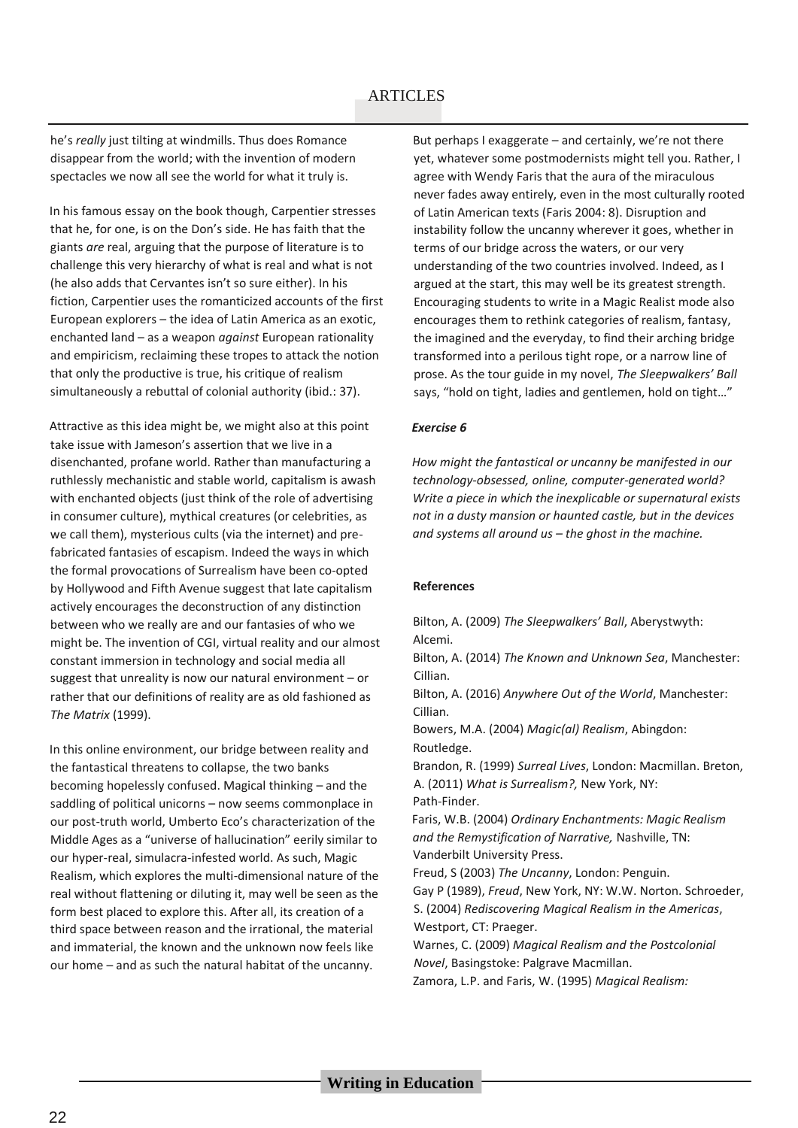he's *really* just tilting at windmills. Thus does Romance disappear from the world; with the invention of modern spectacles we now all see the world for what it truly is.

In his famous essay on the book though, Carpentier stresses that he, for one, is on the Don's side. He has faith that the giants *are* real, arguing that the purpose of literature is to challenge this very hierarchy of what is real and what is not (he also adds that Cervantes isn't so sure either). In his fiction, Carpentier uses the romanticized accounts of the first European explorers – the idea of Latin America as an exotic, enchanted land – as a weapon *against* European rationality and empiricism, reclaiming these tropes to attack the notion that only the productive is true, his critique of realism simultaneously a rebuttal of colonial authority (ibid.: 37).

Attractive as this idea might be, we might also at this point take issue with Jameson's assertion that we live in a disenchanted, profane world. Rather than manufacturing a ruthlessly mechanistic and stable world, capitalism is awash with enchanted objects (just think of the role of advertising in consumer culture), mythical creatures (or celebrities, as we call them), mysterious cults (via the internet) and prefabricated fantasies of escapism. Indeed the ways in which the formal provocations of Surrealism have been co-opted by Hollywood and Fifth Avenue suggest that late capitalism actively encourages the deconstruction of any distinction between who we really are and our fantasies of who we might be. The invention of CGI, virtual reality and our almost constant immersion in technology and social media all suggest that unreality is now our natural environment – or rather that our definitions of reality are as old fashioned as *The Matrix* (1999).

In this online environment, our bridge between reality and the fantastical threatens to collapse, the two banks becoming hopelessly confused. Magical thinking – and the saddling of political unicorns – now seems commonplace in our post-truth world, Umberto Eco's characterization of the Middle Ages as a "universe of hallucination" eerily similar to our hyper-real, simulacra-infested world. As such, Magic Realism, which explores the multi-dimensional nature of the real without flattening or diluting it, may well be seen as the form best placed to explore this. After all, its creation of a third space between reason and the irrational, the material and immaterial, the known and the unknown now feels like our home – and as such the natural habitat of the uncanny.

But perhaps I exaggerate – and certainly, we're not there yet, whatever some postmodernists might tell you. Rather, I agree with Wendy Faris that the aura of the miraculous never fades away entirely, even in the most culturally rooted of Latin American texts (Faris 2004: 8). Disruption and instability follow the uncanny wherever it goes, whether in terms of our bridge across the waters, or our very understanding of the two countries involved. Indeed, as I argued at the start, this may well be its greatest strength. Encouraging students to write in a Magic Realist mode also encourages them to rethink categories of realism, fantasy, the imagined and the everyday, to find their arching bridge transformed into a perilous tight rope, or a narrow line of prose. As the tour guide in my novel, *The Sleepwalkers' Ball*  says, "hold on tight, ladies and gentlemen, hold on tight…"

#### *Exercise 6*

*How might the fantastical or uncanny be manifested in our technology-obsessed, online, computer-generated world? Write a piece in which the inexplicable or supernatural exists not in a dusty mansion or haunted castle, but in the devices and systems all around us – the ghost in the machine.* 

#### **References**

Bilton, A. (2009) *The Sleepwalkers' Ball*, Aberystwyth: Alcemi.

Bilton, A. (2014) *The Known and Unknown Sea*, Manchester: Cillian.

Bilton, A. (2016) *Anywhere Out of the World*, Manchester: Cillian.

Bowers, M.A. (2004) *Magic(al) Realism*, Abingdon: Routledge.

Brandon, R. (1999) *Surreal Lives*, London: Macmillan. Breton, A. (2011) *What is Surrealism?,* New York, NY: Path-Finder.

Faris, W.B. (2004) *Ordinary Enchantments: Magic Realism and the Remystification of Narrative,* Nashville, TN: Vanderbilt University Press.

Freud, S (2003) *The Uncanny*, London: Penguin.

Gay P (1989), *Freud*, New York, NY: W.W. Norton. Schroeder, S. (2004) *Rediscovering Magical Realism in the Americas*, Westport, CT: Praeger.

Warnes, C. (2009) *Magical Realism and the Postcolonial Novel*, Basingstoke: Palgrave Macmillan.

Zamora, L.P. and Faris, W. (1995) *Magical Realism:*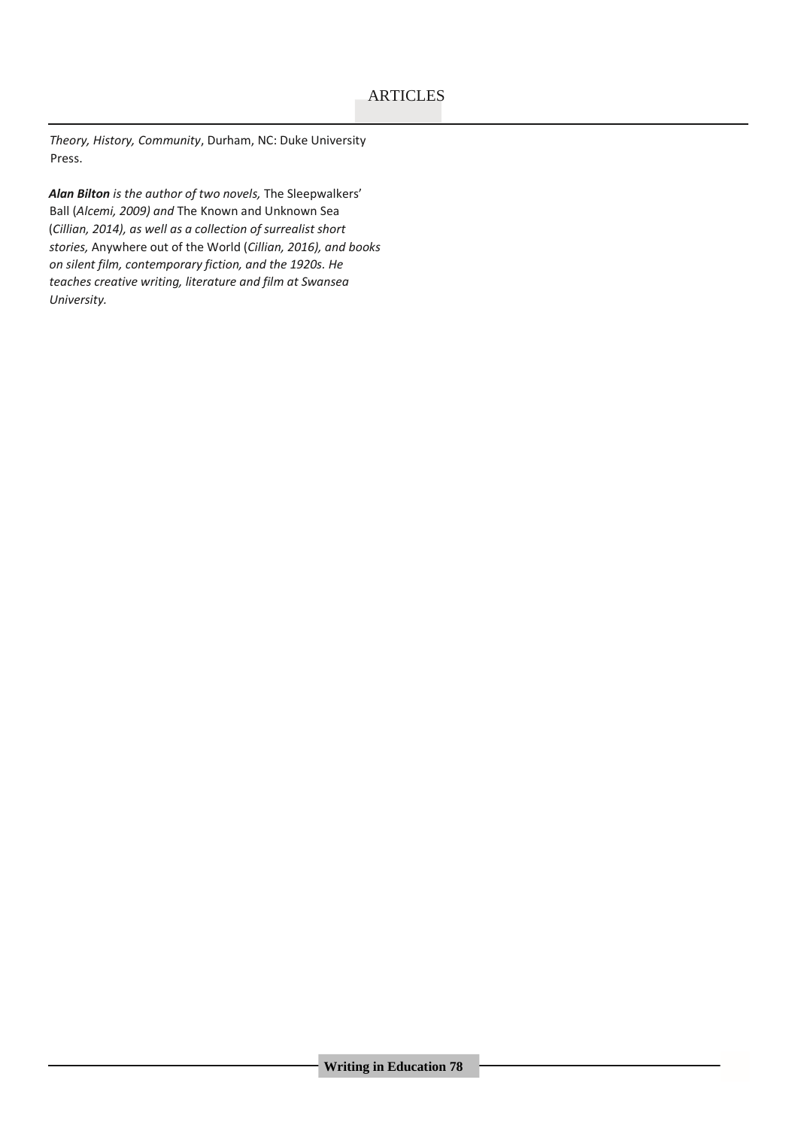*Theory, History, Community*, Durham, NC: Duke University Press.

*Alan Bilton is the author of two novels,* The Sleepwalkers' Ball (*Alcemi, 2009) and* The Known and Unknown Sea (*Cillian, 2014), as well as a collection of surrealist short stories,* Anywhere out of the World (*Cillian, 2016), and books on silent film, contemporary fiction, and the 1920s. He teaches creative writing, literature and film at Swansea University.*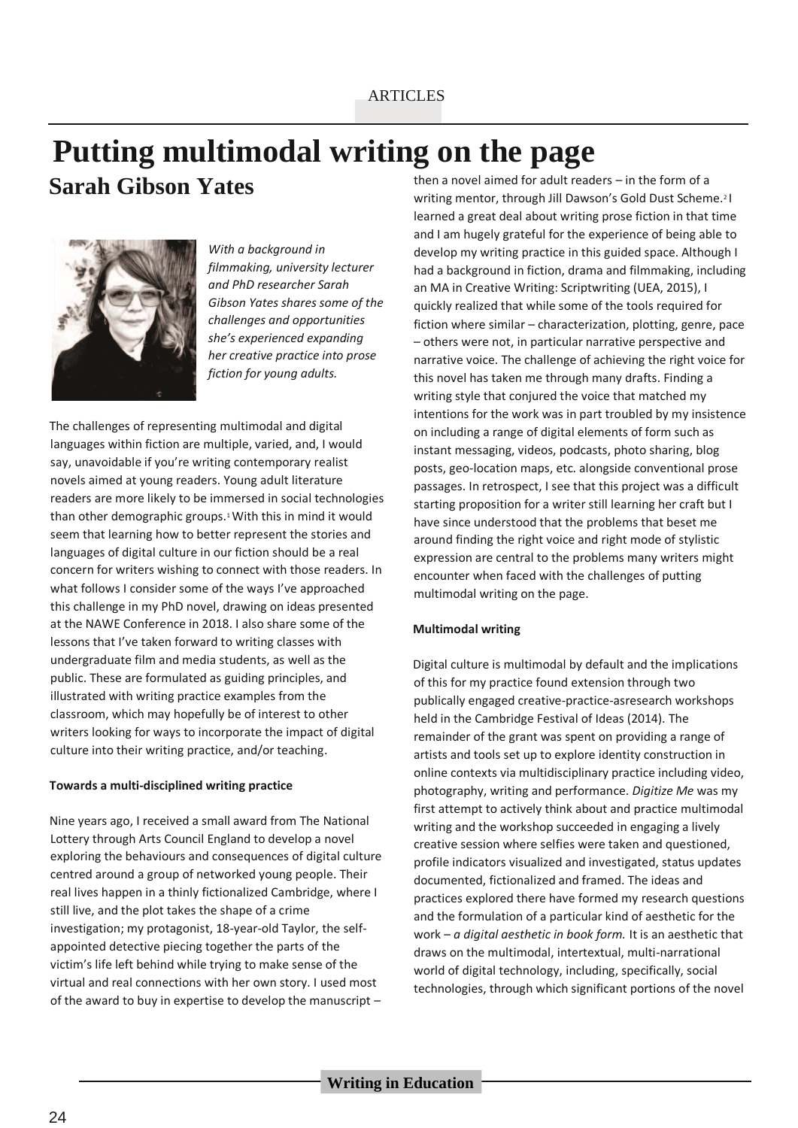# **Putting multimodal writing on the page**

**Sarah Gibson Yates**



*With a background in filmmaking, university lecturer and PhD researcher Sarah Gibson Yates shares some of the challenges and opportunities she's experienced expanding her creative practice into prose fiction for young adults.*

The challenges of representing multimodal and digital languages within fiction are multiple, varied, and, I would say, unavoidable if you're writing contemporary realist novels aimed at young readers. Young adult literature readers are more likely to be immersed in social technologies than other demographic groups.1 With this in mind it would seem that learning how to better represent the stories and languages of digital culture in our fiction should be a real concern for writers wishing to connect with those readers. In what follows I consider some of the ways I've approached this challenge in my PhD novel, drawing on ideas presented at the NAWE Conference in 2018. I also share some of the lessons that I've taken forward to writing classes with undergraduate film and media students, as well as the public. These are formulated as guiding principles, and illustrated with writing practice examples from the classroom, which may hopefully be of interest to other writers looking for ways to incorporate the impact of digital culture into their writing practice, and/or teaching.

#### **Towards a multi-disciplined writing practice**

Nine years ago, I received a small award from The National Lottery through Arts Council England to develop a novel exploring the behaviours and consequences of digital culture centred around a group of networked young people. Their real lives happen in a thinly fictionalized Cambridge, where I still live, and the plot takes the shape of a crime investigation; my protagonist, 18-year-old Taylor, the selfappointed detective piecing together the parts of the victim's life left behind while trying to make sense of the virtual and real connections with her own story. I used most of the award to buy in expertise to develop the manuscript – then a novel aimed for adult readers – in the form of a writing mentor, through Jill Dawson's Gold Dust Scheme.2 I learned a great deal about writing prose fiction in that time and I am hugely grateful for the experience of being able to develop my writing practice in this guided space. Although I had a background in fiction, drama and filmmaking, including an MA in Creative Writing: Scriptwriting (UEA, 2015), I quickly realized that while some of the tools required for fiction where similar – characterization, plotting, genre, pace – others were not, in particular narrative perspective and narrative voice. The challenge of achieving the right voice for this novel has taken me through many drafts. Finding a writing style that conjured the voice that matched my intentions for the work was in part troubled by my insistence on including a range of digital elements of form such as instant messaging, videos, podcasts, photo sharing, blog posts, geo-location maps, etc. alongside conventional prose passages. In retrospect, I see that this project was a difficult starting proposition for a writer still learning her craft but I have since understood that the problems that beset me around finding the right voice and right mode of stylistic expression are central to the problems many writers might encounter when faced with the challenges of putting multimodal writing on the page.

#### **Multimodal writing**

Digital culture is multimodal by default and the implications of this for my practice found extension through two publically engaged creative-practice-asresearch workshops held in the Cambridge Festival of Ideas (2014). The remainder of the grant was spent on providing a range of artists and tools set up to explore identity construction in online contexts via multidisciplinary practice including video, photography, writing and performance. *Digitize Me* was my first attempt to actively think about and practice multimodal writing and the workshop succeeded in engaging a lively creative session where selfies were taken and questioned, profile indicators visualized and investigated, status updates documented, fictionalized and framed. The ideas and practices explored there have formed my research questions and the formulation of a particular kind of aesthetic for the work – *a digital aesthetic in book form.* It is an aesthetic that draws on the multimodal, intertextual, multi-narrational world of digital technology, including, specifically, social technologies, through which significant portions of the novel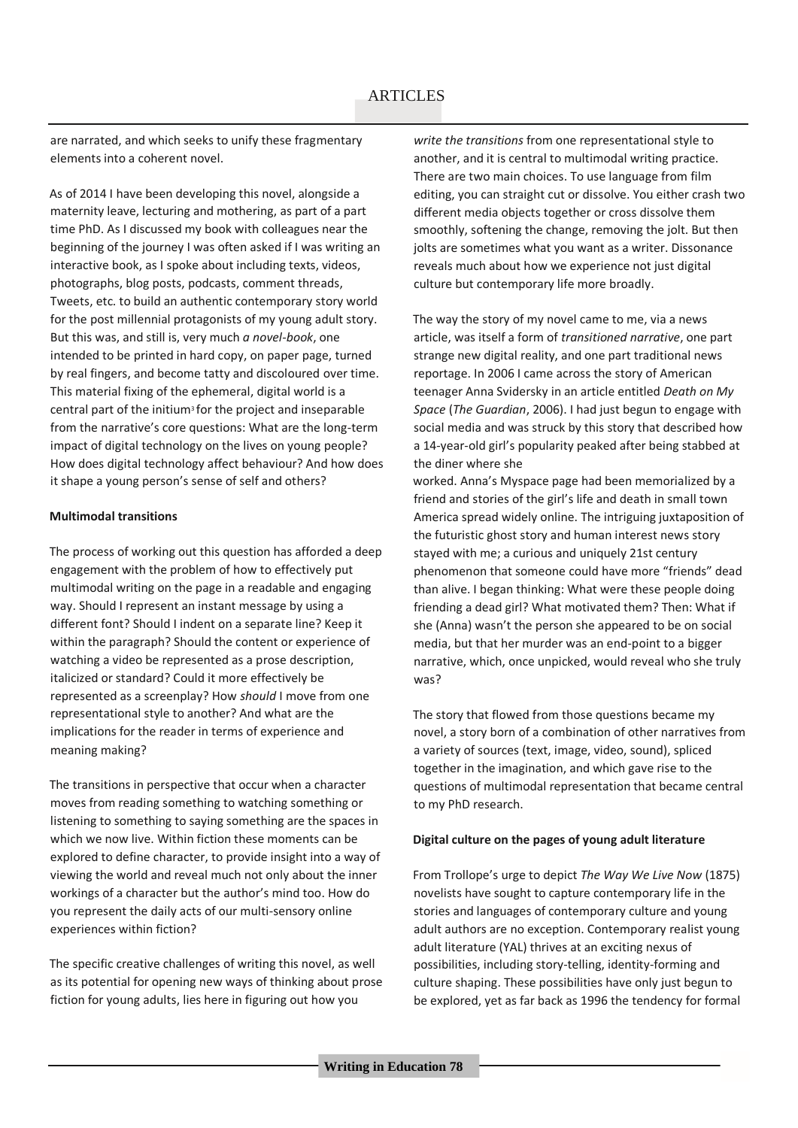are narrated, and which seeks to unify these fragmentary elements into a coherent novel.

As of 2014 I have been developing this novel, alongside a maternity leave, lecturing and mothering, as part of a part time PhD. As I discussed my book with colleagues near the beginning of the journey I was often asked if I was writing an interactive book, as I spoke about including texts, videos, photographs, blog posts, podcasts, comment threads, Tweets, etc. to build an authentic contemporary story world for the post millennial protagonists of my young adult story. But this was, and still is, very much *a novel-book*, one intended to be printed in hard copy, on paper page, turned by real fingers, and become tatty and discoloured over time. This material fixing of the ephemeral, digital world is a central part of the initium<sup>3</sup> for the project and inseparable from the narrative's core questions: What are the long-term impact of digital technology on the lives on young people? How does digital technology affect behaviour? And how does it shape a young person's sense of self and others?

#### **Multimodal transitions**

The process of working out this question has afforded a deep engagement with the problem of how to effectively put multimodal writing on the page in a readable and engaging way. Should I represent an instant message by using a different font? Should I indent on a separate line? Keep it within the paragraph? Should the content or experience of watching a video be represented as a prose description, italicized or standard? Could it more effectively be represented as a screenplay? How *should* I move from one representational style to another? And what are the implications for the reader in terms of experience and meaning making?

The transitions in perspective that occur when a character moves from reading something to watching something or listening to something to saying something are the spaces in which we now live. Within fiction these moments can be explored to define character, to provide insight into a way of viewing the world and reveal much not only about the inner workings of a character but the author's mind too. How do you represent the daily acts of our multi-sensory online experiences within fiction?

The specific creative challenges of writing this novel, as well as its potential for opening new ways of thinking about prose fiction for young adults, lies here in figuring out how you

*write the transitions* from one representational style to another, and it is central to multimodal writing practice. There are two main choices. To use language from film editing, you can straight cut or dissolve. You either crash two different media objects together or cross dissolve them smoothly, softening the change, removing the jolt. But then jolts are sometimes what you want as a writer. Dissonance reveals much about how we experience not just digital culture but contemporary life more broadly.

The way the story of my novel came to me, via a news article, was itself a form of *transitioned narrative*, one part strange new digital reality, and one part traditional news reportage. In 2006 I came across the story of American teenager Anna Svidersky in an article entitled *Death on My Space* (*The Guardian*, 2006). I had just begun to engage with social media and was struck by this story that described how a 14-year-old girl's popularity peaked after being stabbed at the diner where she

worked. Anna's Myspace page had been memorialized by a friend and stories of the girl's life and death in small town America spread widely online. The intriguing juxtaposition of the futuristic ghost story and human interest news story stayed with me; a curious and uniquely 21st century phenomenon that someone could have more "friends" dead than alive. I began thinking: What were these people doing friending a dead girl? What motivated them? Then: What if she (Anna) wasn't the person she appeared to be on social media, but that her murder was an end-point to a bigger narrative, which, once unpicked, would reveal who she truly was?

The story that flowed from those questions became my novel, a story born of a combination of other narratives from a variety of sources (text, image, video, sound), spliced together in the imagination, and which gave rise to the questions of multimodal representation that became central to my PhD research.

#### **Digital culture on the pages of young adult literature**

From Trollope's urge to depict *The Way We Live Now* (1875) novelists have sought to capture contemporary life in the stories and languages of contemporary culture and young adult authors are no exception. Contemporary realist young adult literature (YAL) thrives at an exciting nexus of possibilities, including story-telling, identity-forming and culture shaping. These possibilities have only just begun to be explored, yet as far back as 1996 the tendency for formal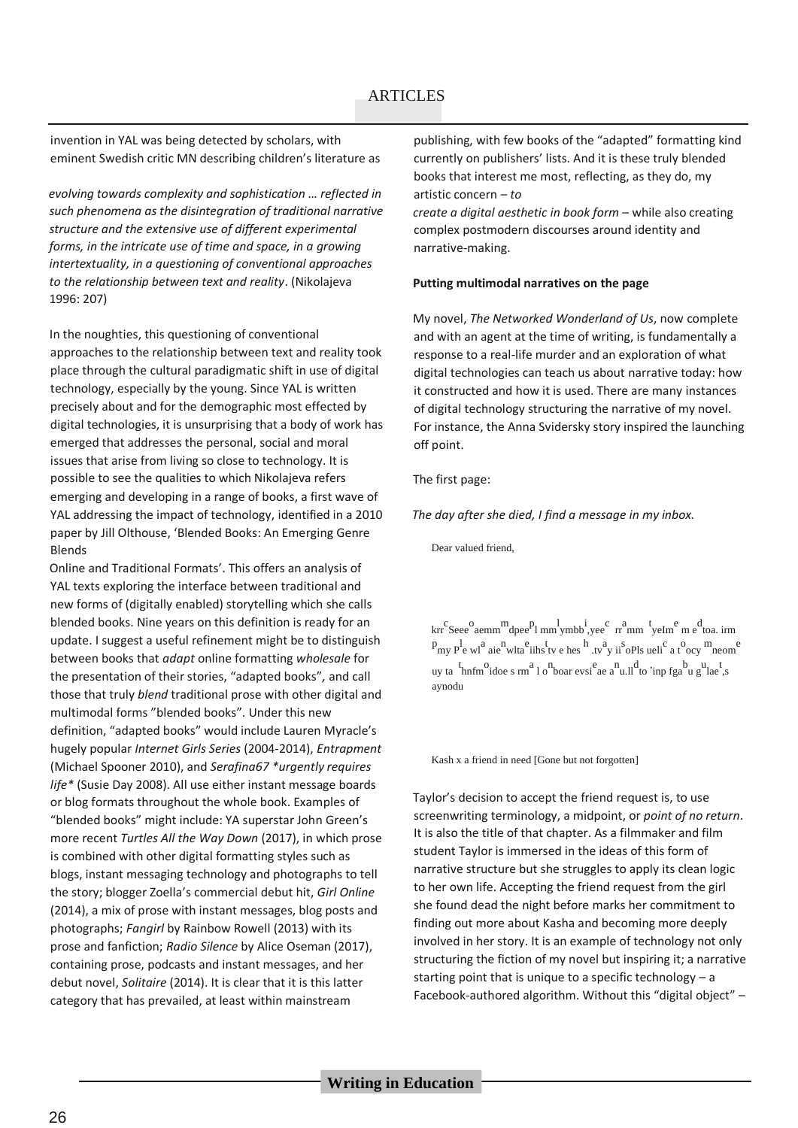invention in YAL was being detected by scholars, with eminent Swedish critic MN describing children's literature as

*evolving towards complexity and sophistication … reflected in such phenomena as the disintegration of traditional narrative structure and the extensive use of different experimental forms, in the intricate use of time and space, in a growing intertextuality, in a questioning of conventional approaches to the relationship between text and reality*. (Nikolajeva 1996: 207)

In the noughties, this questioning of conventional approaches to the relationship between text and reality took place through the cultural paradigmatic shift in use of digital technology, especially by the young. Since YAL is written precisely about and for the demographic most effected by digital technologies, it is unsurprising that a body of work has emerged that addresses the personal, social and moral issues that arise from living so close to technology. It is possible to see the qualities to which Nikolajeva refers emerging and developing in a range of books, a first wave of YAL addressing the impact of technology, identified in a 2010 paper by Jill Olthouse, 'Blended Books: An Emerging Genre Blends

Online and Traditional Formats'. This offers an analysis of YAL texts exploring the interface between traditional and new forms of (digitally enabled) storytelling which she calls blended books. Nine years on this definition is ready for an update. I suggest a useful refinement might be to distinguish between books that *adapt* online formatting *wholesale* for the presentation of their stories, "adapted books"*,* and call those that truly *blend* traditional prose with other digital and multimodal forms "blended books". Under this new definition, "adapted books" would include Lauren Myracle's hugely popular *Internet Girls Series* (2004-2014), *Entrapment*  (Michael Spooner 2010), and *Serafina67 \*urgently requires life\** (Susie Day 2008). All use either instant message boards or blog formats throughout the whole book. Examples of "blended books" might include: YA superstar John Green's more recent *Turtles All the Way Down* (2017), in which prose is combined with other digital formatting styles such as blogs, instant messaging technology and photographs to tell the story; blogger Zoella's commercial debut hit, *Girl Online*  (2014), a mix of prose with instant messages, blog posts and photographs; *Fangirl* by Rainbow Rowell (2013) with its prose and fanfiction; *Radio Silence* by Alice Oseman (2017), containing prose, podcasts and instant messages, and her debut novel, *Solitaire* (2014). It is clear that it is this latter category that has prevailed, at least within mainstream

publishing, with few books of the "adapted" formatting kind currently on publishers' lists. And it is these truly blended books that interest me most, reflecting, as they do, my artistic concern – *to*

*create a digital aesthetic in book form - while also creating* complex postmodern discourses around identity and narrative-making.

#### **Putting multimodal narratives on the page**

My novel, *The Networked Wonderland of Us*, now complete and with an agent at the time of writing, is fundamentally a response to a real-life murder and an exploration of what digital technologies can teach us about narrative today: how it constructed and how it is used. There are many instances of digital technology structuring the narrative of my novel. For instance, the Anna Svidersky story inspired the launching off point.

#### The first page:

*The day after she died, I find a message in my inbox.*

Dear valued friend,

 $\ker^c$  Seee<sup>0</sup> aemm<sup>m</sup>dpee<sup>p</sup>l mm<sub>pmbb</sub><sup>i</sup>, yee<sup>c</sup> rr<sup>a</sup>mm <sup>t</sup>yeIm<sup>e</sup> me<sup>d</sup> toa. irm  $p_{my}$   $p_e$  w<sup>1</sup> aie<sup>n</sup> wlta<sup>e</sup> iihs tv e hes h tv y ii oPls ueli<sup>c</sup> a t ocy meom<sup>e</sup> uy ta  $\frac{t_{\text{h}}}{t_{\text{h}}}\text{ of }t_{\text{h}}$  on  $\frac{a_{\text{h}}}{a_{\text{h}}}\text{ of }t_{\text{h}}$  or  $\frac{c_{\text{h}}}{a_{\text{h}}}\text{ of }t_{\text{h}}$  or  $\frac{b_{\text{h}}}{a_{\text{h}}}\text{ of }t_{\text{h}}$  or  $\frac{b_{\text{h}}}{a_{\text{h}}}\text{ of }t_{\text{h}}$ aynodu

Kash x a friend in need [Gone but not forgotten]

Taylor's decision to accept the friend request is, to use screenwriting terminology, a midpoint, or *point of no return*. It is also the title of that chapter. As a filmmaker and film student Taylor is immersed in the ideas of this form of narrative structure but she struggles to apply its clean logic to her own life. Accepting the friend request from the girl she found dead the night before marks her commitment to finding out more about Kasha and becoming more deeply involved in her story. It is an example of technology not only structuring the fiction of my novel but inspiring it; a narrative starting point that is unique to a specific technology – a Facebook-authored algorithm. Without this "digital object" –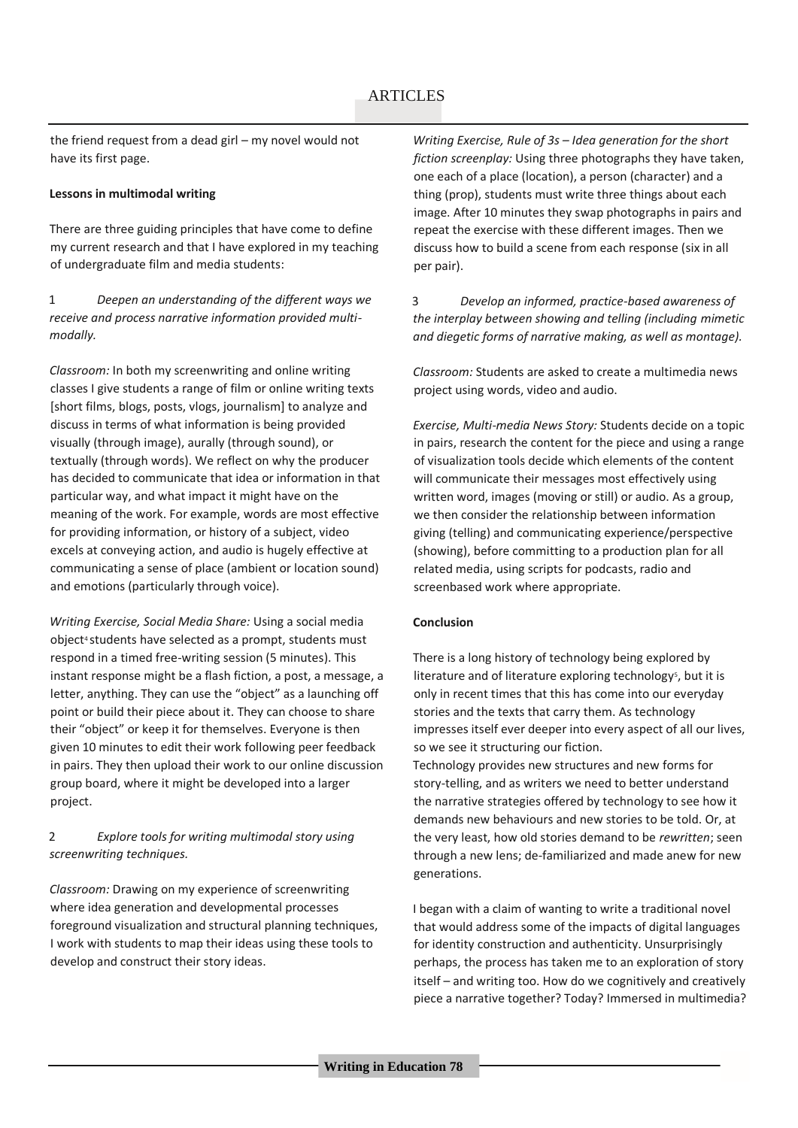the friend request from a dead girl – my novel would not have its first page.

#### **Lessons in multimodal writing**

There are three guiding principles that have come to define my current research and that I have explored in my teaching of undergraduate film and media students:

1 *Deepen an understanding of the different ways we receive and process narrative information provided multimodally.*

*Classroom:* In both my screenwriting and online writing classes I give students a range of film or online writing texts [short films, blogs, posts, vlogs, journalism] to analyze and discuss in terms of what information is being provided visually (through image), aurally (through sound), or textually (through words). We reflect on why the producer has decided to communicate that idea or information in that particular way, and what impact it might have on the meaning of the work. For example, words are most effective for providing information, or history of a subject, video excels at conveying action, and audio is hugely effective at communicating a sense of place (ambient or location sound) and emotions (particularly through voice).

*Writing Exercise, Social Media Share:* Using a social media object4 students have selected as a prompt, students must respond in a timed free-writing session (5 minutes). This instant response might be a flash fiction, a post, a message, a letter, anything. They can use the "object" as a launching off point or build their piece about it. They can choose to share their "object" or keep it for themselves. Everyone is then given 10 minutes to edit their work following peer feedback in pairs. They then upload their work to our online discussion group board, where it might be developed into a larger project.

### 2 *Explore tools for writing multimodal story using screenwriting techniques.*

*Classroom:* Drawing on my experience of screenwriting where idea generation and developmental processes foreground visualization and structural planning techniques, I work with students to map their ideas using these tools to develop and construct their story ideas.

*Writing Exercise, Rule of 3s – Idea generation for the short fiction screenplay:* Using three photographs they have taken, one each of a place (location), a person (character) and a thing (prop), students must write three things about each image. After 10 minutes they swap photographs in pairs and repeat the exercise with these different images. Then we discuss how to build a scene from each response (six in all per pair).

3 *Develop an informed, practice-based awareness of the interplay between showing and telling (including mimetic and diegetic forms of narrative making, as well as montage).* 

*Classroom:* Students are asked to create a multimedia news project using words, video and audio.

*Exercise, Multi-media News Story:* Students decide on a topic in pairs, research the content for the piece and using a range of visualization tools decide which elements of the content will communicate their messages most effectively using written word, images (moving or still) or audio. As a group, we then consider the relationship between information giving (telling) and communicating experience/perspective (showing), before committing to a production plan for all related media, using scripts for podcasts, radio and screenbased work where appropriate.

#### **Conclusion**

generations.

There is a long history of technology being explored by literature and of literature exploring technology<sup>5</sup>, but it is only in recent times that this has come into our everyday stories and the texts that carry them. As technology impresses itself ever deeper into every aspect of all our lives, so we see it structuring our fiction. Technology provides new structures and new forms for story-telling, and as writers we need to better understand the narrative strategies offered by technology to see how it demands new behaviours and new stories to be told. Or, at the very least, how old stories demand to be *rewritten*; seen through a new lens; de-familiarized and made anew for new

I began with a claim of wanting to write a traditional novel that would address some of the impacts of digital languages for identity construction and authenticity. Unsurprisingly perhaps, the process has taken me to an exploration of story itself – and writing too. How do we cognitively and creatively piece a narrative together? Today? Immersed in multimedia?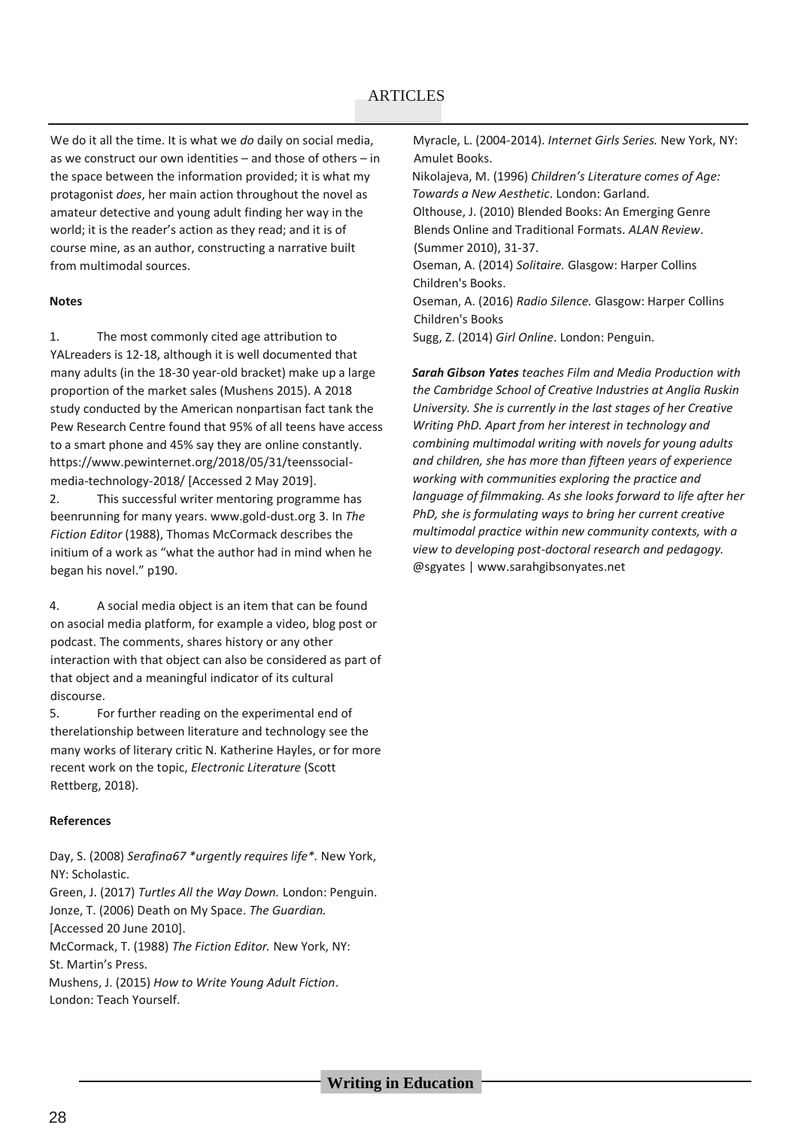We do it all the time. It is what we *do* daily on social media, as we construct our own identities – and those of others – in the space between the information provided; it is what my protagonist *does*, her main action throughout the novel as amateur detective and young adult finding her way in the world; it is the reader's action as they read; and it is of course mine, as an author, constructing a narrative built from multimodal sources.

#### **Notes**

1. The most commonly cited age attribution to YALreaders is 12-18, although it is well documented that many adults (in the 18-30 year-old bracket) make up a large proportion of the market sales (Mushens 2015). A 2018 study conducted by the American nonpartisan fact tank the Pew Research Centre found that 95% of all teens have access to a smart phone and 45% say they are online constantly. https://www.pewinternet.org/2018/05/31/teenssocialmedia-technology-2018/ [Accessed 2 May 2019].

2. This successful writer mentoring programme has beenrunning for many years. www.gold-dust.org 3. In *The Fiction Editor* (1988), Thomas McCormack describes the initium of a work as "what the author had in mind when he began his novel." p190.

4. A social media object is an item that can be found on asocial media platform, for example a video, blog post or podcast. The comments, shares history or any other interaction with that object can also be considered as part of that object and a meaningful indicator of its cultural discourse.

5. For further reading on the experimental end of therelationship between literature and technology see the many works of literary critic N. Katherine Hayles, or for more recent work on the topic, *Electronic Literature* (Scott Rettberg, 2018).

#### **References**

Day, S. (2008) *Serafina67 \*urgently requires life\*.* New York, NY: Scholastic.

Green, J. (2017) *Turtles All the Way Down.* London: Penguin. Jonze, T. (2006) Death on My Space. *The Guardian.* [Accessed 20 June 2010].

McCormack, T. (1988) *The Fiction Editor.* New York, NY: St. Martin's Press.

Mushens, J. (2015) *How to Write Young Adult Fiction*. London: Teach Yourself.

Myracle, L. (2004-2014). *Internet Girls Series.* New York, NY: Amulet Books. Nikolajeva, M. (1996) *Children's Literature comes of Age: Towards a New Aesthetic*. London: Garland.

Olthouse, J. (2010) Blended Books: An Emerging Genre Blends Online and Traditional Formats. *ALAN Review*. (Summer 2010), 31-37.

Oseman, A. (2014) *Solitaire.* Glasgow: Harper Collins Children's Books.

Oseman, A. (2016) *Radio Silence.* Glasgow: Harper Collins Children's Books

Sugg, Z. (2014) *Girl Online*. London: Penguin.

*Sarah Gibson Yates teaches Film and Media Production with the Cambridge School of Creative Industries at Anglia Ruskin University. She is currently in the last stages of her Creative Writing PhD. Apart from her interest in technology and combining multimodal writing with novels for young adults and children, she has more than fifteen years of experience working with communities exploring the practice and language of filmmaking. As she looks forward to life after her PhD, she is formulating ways to bring her current creative multimodal practice within new community contexts, with a view to developing post-doctoral research and pedagogy.*  @sgyates | www.sarahgibsonyates.net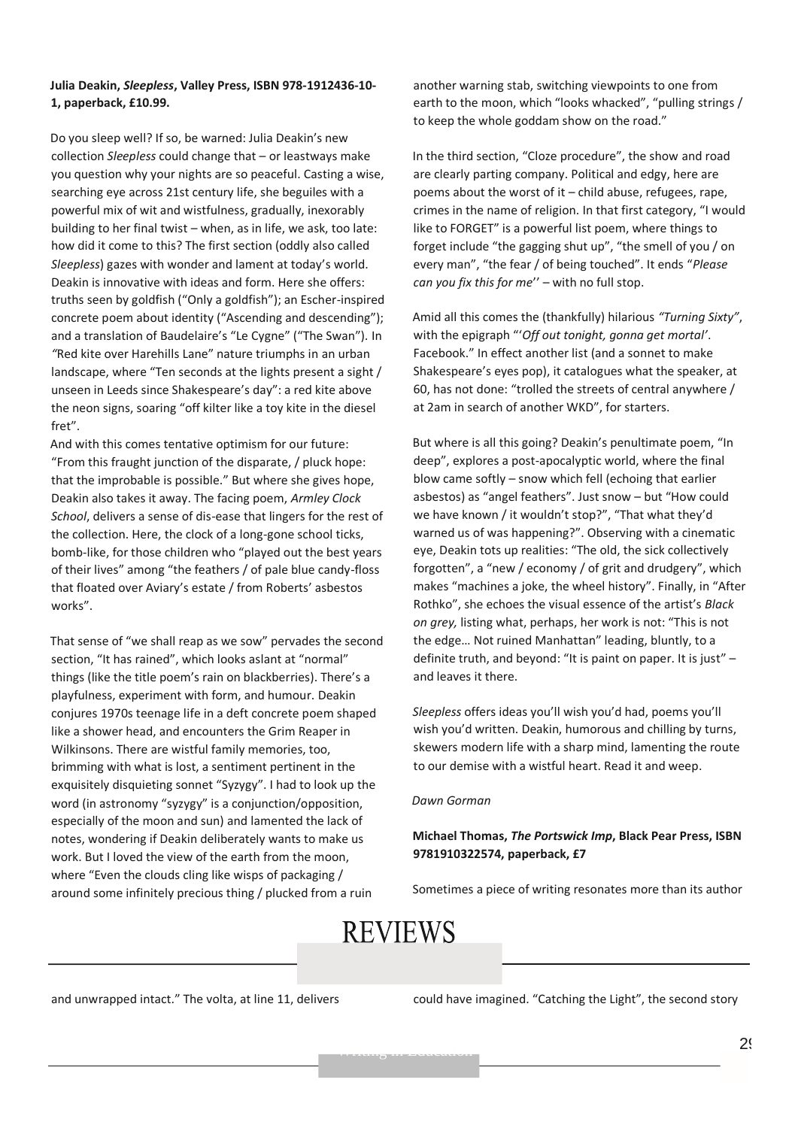#### **Julia Deakin,** *Sleepless***, Valley Press, ISBN 978-1912436-10- 1, paperback, £10.99.**

Do you sleep well? If so, be warned: Julia Deakin's new collection *Sleepless* could change that – or leastways make you question why your nights are so peaceful. Casting a wise, searching eye across 21st century life, she beguiles with a powerful mix of wit and wistfulness, gradually, inexorably building to her final twist – when, as in life, we ask, too late: how did it come to this? The first section (oddly also called *Sleepless*) gazes with wonder and lament at today's world. Deakin is innovative with ideas and form. Here she offers: truths seen by goldfish ("Only a goldfish"); an Escher-inspired concrete poem about identity ("Ascending and descending"); and a translation of Baudelaire's "Le Cygne" ("The Swan")*.* In *"*Red kite over Harehills Lane" nature triumphs in an urban landscape, where "Ten seconds at the lights present a sight / unseen in Leeds since Shakespeare's day": a red kite above the neon signs, soaring "off kilter like a toy kite in the diesel fret".

And with this comes tentative optimism for our future: "From this fraught junction of the disparate, / pluck hope: that the improbable is possible." But where she gives hope, Deakin also takes it away. The facing poem, *Armley Clock School*, delivers a sense of dis-ease that lingers for the rest of the collection. Here, the clock of a long-gone school ticks, bomb-like, for those children who "played out the best years of their lives" among "the feathers / of pale blue candy-floss that floated over Aviary's estate / from Roberts' asbestos works".

That sense of "we shall reap as we sow" pervades the second section, "It has rained", which looks aslant at "normal" things (like the title poem's rain on blackberries). There's a playfulness, experiment with form, and humour. Deakin conjures 1970s teenage life in a deft concrete poem shaped like a shower head, and encounters the Grim Reaper in Wilkinsons. There are wistful family memories, too, brimming with what is lost, a sentiment pertinent in the exquisitely disquieting sonnet "Syzygy". I had to look up the word (in astronomy "syzygy" is a conjunction/opposition, especially of the moon and sun) and lamented the lack of notes, wondering if Deakin deliberately wants to make us work. But I loved the view of the earth from the moon, where "Even the clouds cling like wisps of packaging / around some infinitely precious thing / plucked from a ruin

another warning stab, switching viewpoints to one from earth to the moon, which "looks whacked", "pulling strings / to keep the whole goddam show on the road."

In the third section, "Cloze procedure", the show and road are clearly parting company. Political and edgy, here are poems about the worst of it – child abuse, refugees, rape, crimes in the name of religion. In that first category, "I would like to FORGET" is a powerful list poem, where things to forget include "the gagging shut up", "the smell of you / on every man", "the fear / of being touched". It ends "*Please can you fix this for me*'' – with no full stop.

Amid all this comes the (thankfully) hilarious *"Turning Sixty"*, with the epigraph "'*Off out tonight, gonna get mortal'*. Facebook." In effect another list (and a sonnet to make Shakespeare's eyes pop), it catalogues what the speaker, at 60, has not done: "trolled the streets of central anywhere / at 2am in search of another WKD", for starters.

But where is all this going? Deakin's penultimate poem, "In deep", explores a post-apocalyptic world, where the final blow came softly – snow which fell (echoing that earlier asbestos) as "angel feathers". Just snow – but "How could we have known / it wouldn't stop?", "That what they'd warned us of was happening?". Observing with a cinematic eye, Deakin tots up realities: "The old, the sick collectively forgotten", a "new / economy / of grit and drudgery", which makes "machines a joke, the wheel history". Finally, in "After Rothko", she echoes the visual essence of the artist's *Black on grey,* listing what, perhaps, her work is not: "This is not the edge… Not ruined Manhattan" leading, bluntly, to a definite truth, and beyond: "It is paint on paper. It is just" – and leaves it there.

*Sleepless* offers ideas you'll wish you'd had, poems you'll wish you'd written. Deakin, humorous and chilling by turns, skewers modern life with a sharp mind, lamenting the route to our demise with a wistful heart. Read it and weep.

#### *Dawn Gorman*

#### **Michael Thomas,** *The Portswick Imp***, Black Pear Press, ISBN 9781910322574, paperback, £7**

Sometimes a piece of writing resonates more than its author

# **REVIEWS**

and unwrapped intact." The volta, at line 11, delivers

could have imagined. "Catching the Light", the second story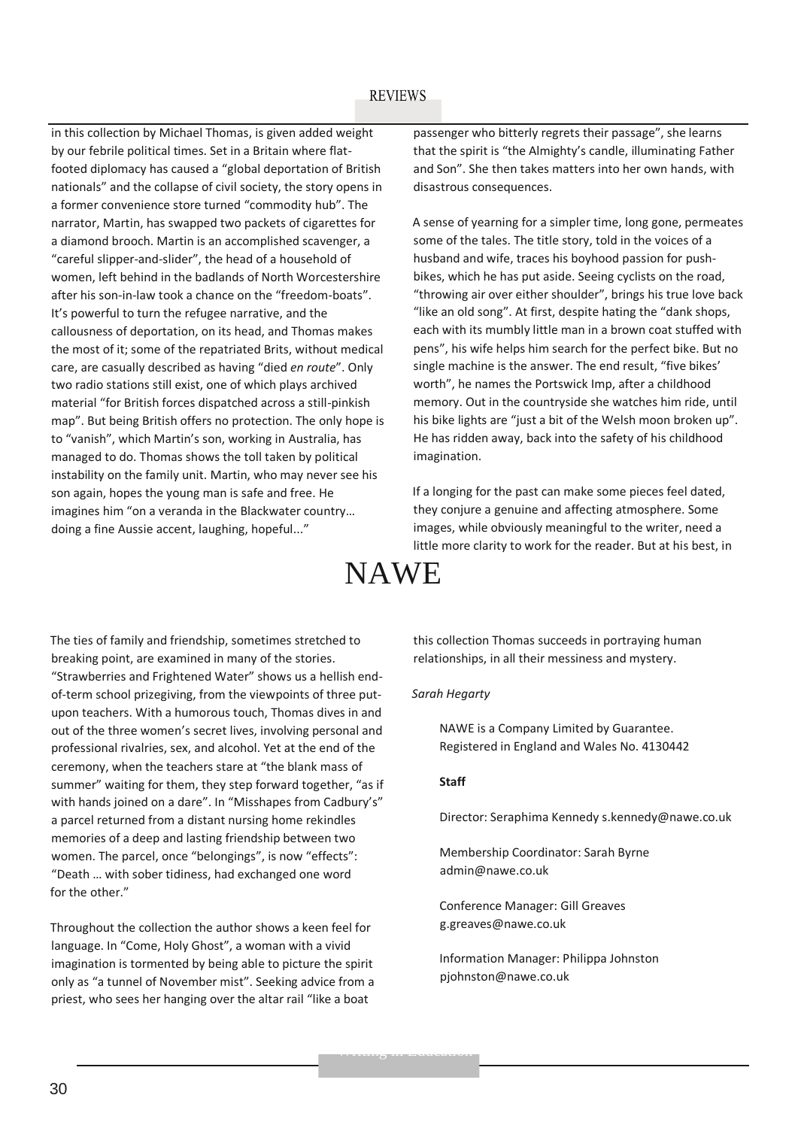in this collection by Michael Thomas, is given added weight by our febrile political times. Set in a Britain where flatfooted diplomacy has caused a "global deportation of British nationals" and the collapse of civil society, the story opens in a former convenience store turned "commodity hub". The narrator, Martin, has swapped two packets of cigarettes for a diamond brooch. Martin is an accomplished scavenger, a "careful slipper-and-slider", the head of a household of women, left behind in the badlands of North Worcestershire after his son-in-law took a chance on the "freedom-boats". It's powerful to turn the refugee narrative, and the callousness of deportation, on its head, and Thomas makes the most of it; some of the repatriated Brits, without medical care, are casually described as having "died *en route*". Only two radio stations still exist, one of which plays archived material "for British forces dispatched across a still-pinkish map". But being British offers no protection. The only hope is to "vanish", which Martin's son, working in Australia, has managed to do. Thomas shows the toll taken by political instability on the family unit. Martin, who may never see his son again, hopes the young man is safe and free. He imagines him "on a veranda in the Blackwater country… doing a fine Aussie accent, laughing, hopeful..."

passenger who bitterly regrets their passage", she learns that the spirit is "the Almighty's candle, illuminating Father and Son". She then takes matters into her own hands, with disastrous consequences.

A sense of yearning for a simpler time, long gone, permeates some of the tales. The title story, told in the voices of a husband and wife, traces his boyhood passion for pushbikes, which he has put aside. Seeing cyclists on the road, "throwing air over either shoulder", brings his true love back "like an old song". At first, despite hating the "dank shops, each with its mumbly little man in a brown coat stuffed with pens", his wife helps him search for the perfect bike. But no single machine is the answer. The end result, "five bikes' worth", he names the Portswick Imp, after a childhood memory. Out in the countryside she watches him ride, until his bike lights are "just a bit of the Welsh moon broken up". He has ridden away, back into the safety of his childhood imagination.

If a longing for the past can make some pieces feel dated, they conjure a genuine and affecting atmosphere. Some images, while obviously meaningful to the writer, need a little more clarity to work for the reader. But at his best, in

# NAWE

The ties of family and friendship, sometimes stretched to breaking point, are examined in many of the stories. "Strawberries and Frightened Water" shows us a hellish endof-term school prizegiving, from the viewpoints of three putupon teachers. With a humorous touch, Thomas dives in and out of the three women's secret lives, involving personal and professional rivalries, sex, and alcohol. Yet at the end of the ceremony, when the teachers stare at "the blank mass of summer" waiting for them, they step forward together, "as if with hands joined on a dare". In "Misshapes from Cadbury's" a parcel returned from a distant nursing home rekindles memories of a deep and lasting friendship between two women. The parcel, once "belongings", is now "effects": "Death … with sober tidiness, had exchanged one word for the other."

Throughout the collection the author shows a keen feel for language. In "Come, Holy Ghost", a woman with a vivid imagination is tormented by being able to picture the spirit only as "a tunnel of November mist". Seeking advice from a priest, who sees her hanging over the altar rail "like a boat

this collection Thomas succeeds in portraying human relationships, in all their messiness and mystery.

#### *Sarah Hegarty*

NAWE is a Company Limited by Guarantee. Registered in England and Wales No. 4130442

#### **Staff**

Director: Seraphima Kennedy s.kennedy@nawe.co.uk

Membership Coordinator: Sarah Byrne admin@nawe.co.uk

Conference Manager: Gill Greaves g.greaves@nawe.co.uk

Information Manager: Philippa Johnston pjohnston@nawe.co.uk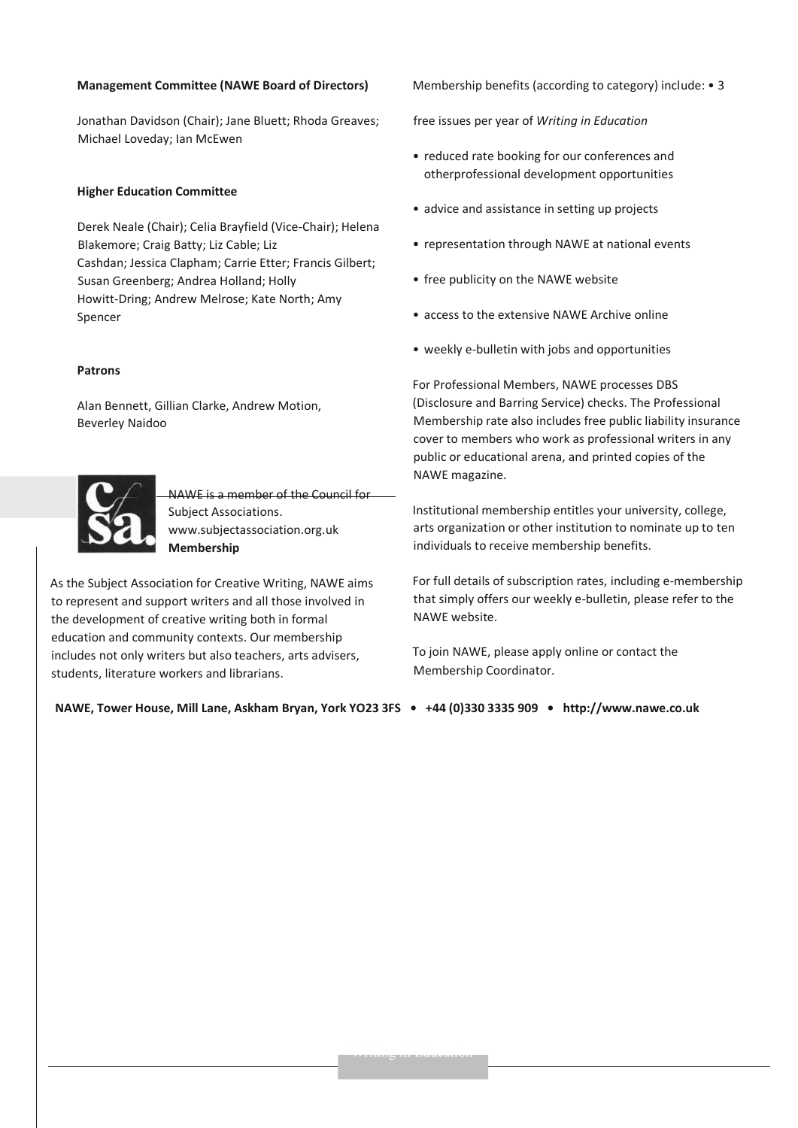#### **Management Committee (NAWE Board of Directors)**

Jonathan Davidson (Chair); Jane Bluett; Rhoda Greaves; Michael Loveday; Ian McEwen

#### **Higher Education Committee**

Derek Neale (Chair); Celia Brayfield (Vice-Chair); Helena Blakemore; Craig Batty; Liz Cable; Liz Cashdan; Jessica Clapham; Carrie Etter; Francis Gilbert; Susan Greenberg; Andrea Holland; Holly Howitt-Dring; Andrew Melrose; Kate North; Amy Spencer

#### **Patrons**

Alan Bennett, Gillian Clarke, Andrew Motion, Beverley Naidoo



NAWE is a member of the Council for Subject Associations. www.subjectassociation.org.uk **Membership**

As the Subject Association for Creative Writing, NAWE aims to represent and support writers and all those involved in the development of creative writing both in formal education and community contexts. Our membership includes not only writers but also teachers, arts advisers, students, literature workers and librarians.

Membership benefits (according to category) include: • 3

free issues per year of *Writing in Education*

- reduced rate booking for our conferences and otherprofessional development opportunities
- advice and assistance in setting up projects
- representation through NAWE at national events
- free publicity on the NAWE website
- access to the extensive NAWE Archive online
- weekly e-bulletin with jobs and opportunities

For Professional Members, NAWE processes DBS (Disclosure and Barring Service) checks. The Professional Membership rate also includes free public liability insurance cover to members who work as professional writers in any public or educational arena, and printed copies of the NAWE magazine.

Institutional membership entitles your university, college, arts organization or other institution to nominate up to ten individuals to receive membership benefits.

For full details of subscription rates, including e-membership that simply offers our weekly e-bulletin, please refer to the NAWE website.

To join NAWE, please apply online or contact the Membership Coordinator.

**NAWE, Tower House, Mill Lane, Askham Bryan, York YO23 3FS • +44 (0)330 3335 909 • http://www.nawe.co.uk**